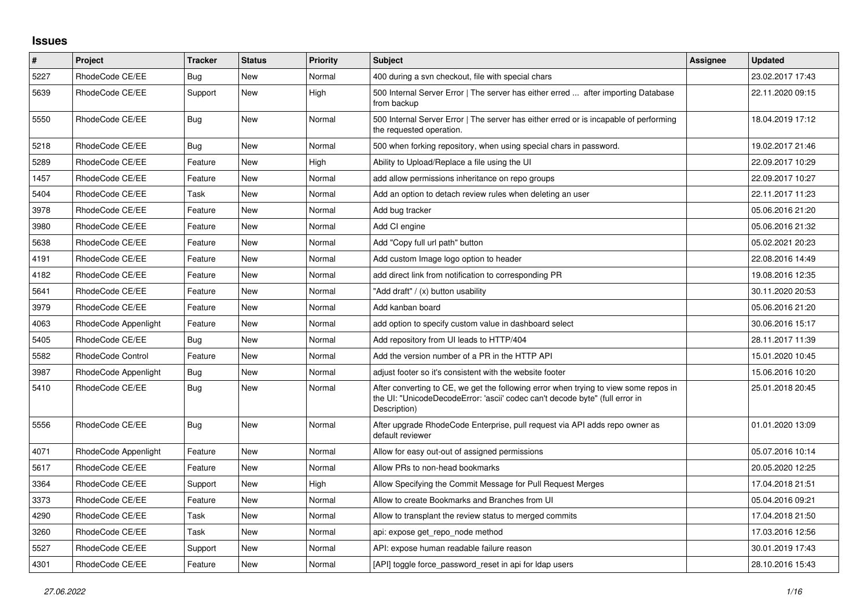## **Issues**

| $\pmb{\#}$ | <b>Project</b>           | <b>Tracker</b> | <b>Status</b> | <b>Priority</b> | Subject                                                                                                                                                                              | Assignee | <b>Updated</b>   |
|------------|--------------------------|----------------|---------------|-----------------|--------------------------------------------------------------------------------------------------------------------------------------------------------------------------------------|----------|------------------|
| 5227       | RhodeCode CE/EE          | Bug            | New           | Normal          | 400 during a svn checkout, file with special chars                                                                                                                                   |          | 23.02.2017 17:43 |
| 5639       | RhodeCode CE/EE          | Support        | <b>New</b>    | High            | 500 Internal Server Error   The server has either erred  after importing Database<br>from backup                                                                                     |          | 22.11.2020 09:15 |
| 5550       | RhodeCode CE/EE          | Bug            | <b>New</b>    | Normal          | 500 Internal Server Error   The server has either erred or is incapable of performing<br>the requested operation.                                                                    |          | 18.04.2019 17:12 |
| 5218       | RhodeCode CE/EE          | Bug            | <b>New</b>    | Normal          | 500 when forking repository, when using special chars in password.                                                                                                                   |          | 19.02.2017 21:46 |
| 5289       | RhodeCode CE/EE          | Feature        | <b>New</b>    | High            | Ability to Upload/Replace a file using the UI                                                                                                                                        |          | 22.09.2017 10:29 |
| 1457       | RhodeCode CE/EE          | Feature        | <b>New</b>    | Normal          | add allow permissions inheritance on repo groups                                                                                                                                     |          | 22.09.2017 10:27 |
| 5404       | RhodeCode CE/EE          | Task           | <b>New</b>    | Normal          | Add an option to detach review rules when deleting an user                                                                                                                           |          | 22.11.2017 11:23 |
| 3978       | RhodeCode CE/EE          | Feature        | <b>New</b>    | Normal          | Add bug tracker                                                                                                                                                                      |          | 05.06.2016 21:20 |
| 3980       | RhodeCode CE/EE          | Feature        | <b>New</b>    | Normal          | Add CI engine                                                                                                                                                                        |          | 05.06.2016 21:32 |
| 5638       | RhodeCode CE/EE          | Feature        | <b>New</b>    | Normal          | Add "Copy full url path" button                                                                                                                                                      |          | 05.02.2021 20:23 |
| 4191       | RhodeCode CE/EE          | Feature        | <b>New</b>    | Normal          | Add custom Image logo option to header                                                                                                                                               |          | 22.08.2016 14:49 |
| 4182       | RhodeCode CE/EE          | Feature        | <b>New</b>    | Normal          | add direct link from notification to corresponding PR                                                                                                                                |          | 19.08.2016 12:35 |
| 5641       | RhodeCode CE/EE          | Feature        | <b>New</b>    | Normal          | 'Add draft" / (x) button usability                                                                                                                                                   |          | 30.11.2020 20:53 |
| 3979       | RhodeCode CE/EE          | Feature        | <b>New</b>    | Normal          | Add kanban board                                                                                                                                                                     |          | 05.06.2016 21:20 |
| 4063       | RhodeCode Appenlight     | Feature        | New           | Normal          | add option to specify custom value in dashboard select                                                                                                                               |          | 30.06.2016 15:17 |
| 5405       | RhodeCode CE/EE          | Bug            | <b>New</b>    | Normal          | Add repository from UI leads to HTTP/404                                                                                                                                             |          | 28.11.2017 11:39 |
| 5582       | <b>RhodeCode Control</b> | Feature        | <b>New</b>    | Normal          | Add the version number of a PR in the HTTP API                                                                                                                                       |          | 15.01.2020 10:45 |
| 3987       | RhodeCode Appenlight     | Bug            | New           | Normal          | adjust footer so it's consistent with the website footer                                                                                                                             |          | 15.06.2016 10:20 |
| 5410       | RhodeCode CE/EE          | Bug            | <b>New</b>    | Normal          | After converting to CE, we get the following error when trying to view some repos in<br>the UI: "UnicodeDecodeError: 'ascii' codec can't decode byte" (full error in<br>Description) |          | 25.01.2018 20:45 |
| 5556       | RhodeCode CE/EE          | Bug            | <b>New</b>    | Normal          | After upgrade RhodeCode Enterprise, pull request via API adds repo owner as<br>default reviewer                                                                                      |          | 01.01.2020 13:09 |
| 4071       | RhodeCode Appenlight     | Feature        | <b>New</b>    | Normal          | Allow for easy out-out of assigned permissions                                                                                                                                       |          | 05.07.2016 10:14 |
| 5617       | RhodeCode CE/EE          | Feature        | <b>New</b>    | Normal          | Allow PRs to non-head bookmarks                                                                                                                                                      |          | 20.05.2020 12:25 |
| 3364       | RhodeCode CE/EE          | Support        | New           | High            | Allow Specifying the Commit Message for Pull Request Merges                                                                                                                          |          | 17.04.2018 21:51 |
| 3373       | RhodeCode CE/EE          | Feature        | <b>New</b>    | Normal          | Allow to create Bookmarks and Branches from UI                                                                                                                                       |          | 05.04.2016 09:21 |
| 4290       | RhodeCode CE/EE          | Task           | <b>New</b>    | Normal          | Allow to transplant the review status to merged commits                                                                                                                              |          | 17.04.2018 21:50 |
| 3260       | RhodeCode CE/EE          | Task           | New           | Normal          | api: expose get repo node method                                                                                                                                                     |          | 17.03.2016 12:56 |
| 5527       | RhodeCode CE/EE          | Support        | <b>New</b>    | Normal          | API: expose human readable failure reason                                                                                                                                            |          | 30.01.2019 17:43 |
| 4301       | RhodeCode CE/EE          | Feature        | <b>New</b>    | Normal          | [API] toggle force password reset in api for Idap users                                                                                                                              |          | 28.10.2016 15:43 |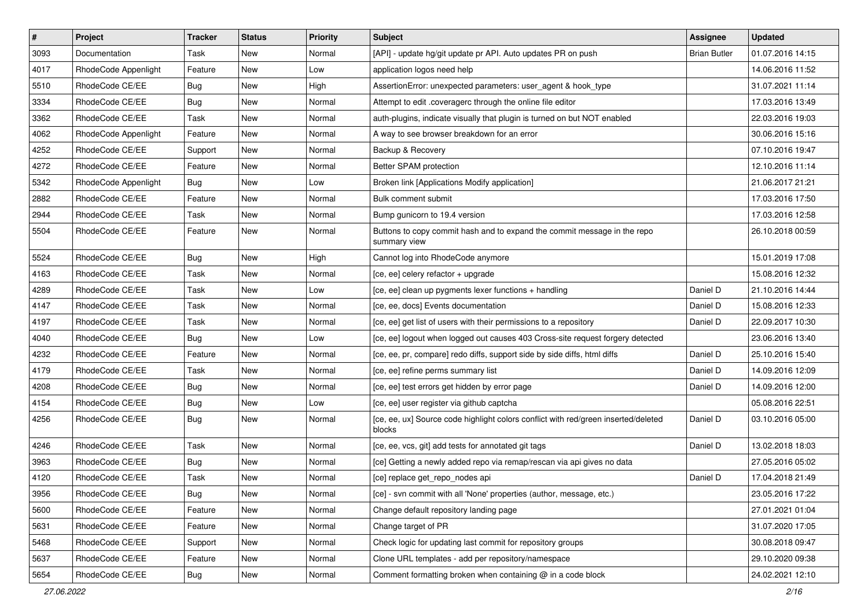| $\vert$ # | Project              | <b>Tracker</b> | <b>Status</b> | <b>Priority</b> | <b>Subject</b>                                                                               | Assignee            | <b>Updated</b>   |
|-----------|----------------------|----------------|---------------|-----------------|----------------------------------------------------------------------------------------------|---------------------|------------------|
| 3093      | Documentation        | Task           | New           | Normal          | [API] - update hg/git update pr API. Auto updates PR on push                                 | <b>Brian Butler</b> | 01.07.2016 14:15 |
| 4017      | RhodeCode Appenlight | Feature        | New           | Low             | application logos need help                                                                  |                     | 14.06.2016 11:52 |
| 5510      | RhodeCode CE/EE      | Bug            | New           | High            | AssertionError: unexpected parameters: user agent & hook type                                |                     | 31.07.2021 11:14 |
| 3334      | RhodeCode CE/EE      | <b>Bug</b>     | New           | Normal          | Attempt to edit .coveragerc through the online file editor                                   |                     | 17.03.2016 13:49 |
| 3362      | RhodeCode CE/EE      | Task           | New           | Normal          | auth-plugins, indicate visually that plugin is turned on but NOT enabled                     |                     | 22.03.2016 19:03 |
| 4062      | RhodeCode Appenlight | Feature        | New           | Normal          | A way to see browser breakdown for an error                                                  |                     | 30.06.2016 15:16 |
| 4252      | RhodeCode CE/EE      | Support        | New           | Normal          | Backup & Recovery                                                                            |                     | 07.10.2016 19:47 |
| 4272      | RhodeCode CE/EE      | Feature        | New           | Normal          | Better SPAM protection                                                                       |                     | 12.10.2016 11:14 |
| 5342      | RhodeCode Appenlight | Bug            | New           | Low             | Broken link [Applications Modify application]                                                |                     | 21.06.2017 21:21 |
| 2882      | RhodeCode CE/EE      | Feature        | New           | Normal          | Bulk comment submit                                                                          |                     | 17.03.2016 17:50 |
| 2944      | RhodeCode CE/EE      | Task           | New           | Normal          | Bump gunicorn to 19.4 version                                                                |                     | 17.03.2016 12:58 |
| 5504      | RhodeCode CE/EE      | Feature        | New           | Normal          | Buttons to copy commit hash and to expand the commit message in the repo<br>summary view     |                     | 26.10.2018 00:59 |
| 5524      | RhodeCode CE/EE      | Bug            | New           | High            | Cannot log into RhodeCode anymore                                                            |                     | 15.01.2019 17:08 |
| 4163      | RhodeCode CE/EE      | Task           | New           | Normal          | [ce, ee] celery refactor + upgrade                                                           |                     | 15.08.2016 12:32 |
| 4289      | RhodeCode CE/EE      | Task           | New           | Low             | [ce, ee] clean up pygments lexer functions + handling                                        | Daniel D            | 21.10.2016 14:44 |
| 4147      | RhodeCode CE/EE      | Task           | New           | Normal          | [ce, ee, docs] Events documentation                                                          | Daniel D            | 15.08.2016 12:33 |
| 4197      | RhodeCode CE/EE      | Task           | New           | Normal          | [ce, ee] get list of users with their permissions to a repository                            | Daniel D            | 22.09.2017 10:30 |
| 4040      | RhodeCode CE/EE      | Bug            | New           | Low             | [ce, ee] logout when logged out causes 403 Cross-site request forgery detected               |                     | 23.06.2016 13:40 |
| 4232      | RhodeCode CE/EE      | Feature        | New           | Normal          | [ce, ee, pr, compare] redo diffs, support side by side diffs, html diffs                     | Daniel D            | 25.10.2016 15:40 |
| 4179      | RhodeCode CE/EE      | Task           | New           | Normal          | [ce, ee] refine perms summary list                                                           | Daniel D            | 14.09.2016 12:09 |
| 4208      | RhodeCode CE/EE      | <b>Bug</b>     | New           | Normal          | [ce, ee] test errors get hidden by error page                                                | Daniel D            | 14.09.2016 12:00 |
| 4154      | RhodeCode CE/EE      | <b>Bug</b>     | New           | Low             | [ce, ee] user register via github captcha                                                    |                     | 05.08.2016 22:51 |
| 4256      | RhodeCode CE/EE      | Bug            | New           | Normal          | [ce, ee, ux] Source code highlight colors conflict with red/green inserted/deleted<br>blocks | Daniel D            | 03.10.2016 05:00 |
| 4246      | RhodeCode CE/EE      | Task           | New           | Normal          | [ce, ee, vcs, git] add tests for annotated git tags                                          | Daniel D            | 13.02.2018 18:03 |
| 3963      | RhodeCode CE/EE      | <b>Bug</b>     | New           | Normal          | [ce] Getting a newly added repo via remap/rescan via api gives no data                       |                     | 27.05.2016 05:02 |
| 4120      | RhodeCode CE/EE      | Task           | New           | Normal          | [ce] replace get repo nodes api                                                              | Daniel D            | 17.04.2018 21:49 |
| 3956      | RhodeCode CE/EE      | <b>Bug</b>     | New           | Normal          | [ce] - svn commit with all 'None' properties (author, message, etc.)                         |                     | 23.05.2016 17:22 |
| 5600      | RhodeCode CE/EE      | Feature        | New           | Normal          | Change default repository landing page                                                       |                     | 27.01.2021 01:04 |
| 5631      | RhodeCode CE/EE      | Feature        | New           | Normal          | Change target of PR                                                                          |                     | 31.07.2020 17:05 |
| 5468      | RhodeCode CE/EE      | Support        | New           | Normal          | Check logic for updating last commit for repository groups                                   |                     | 30.08.2018 09:47 |
| 5637      | RhodeCode CE/EE      | Feature        | New           | Normal          | Clone URL templates - add per repository/namespace                                           |                     | 29.10.2020 09:38 |
| 5654      | RhodeCode CE/EE      | <b>Bug</b>     | New           | Normal          | Comment formatting broken when containing @ in a code block                                  |                     | 24.02.2021 12:10 |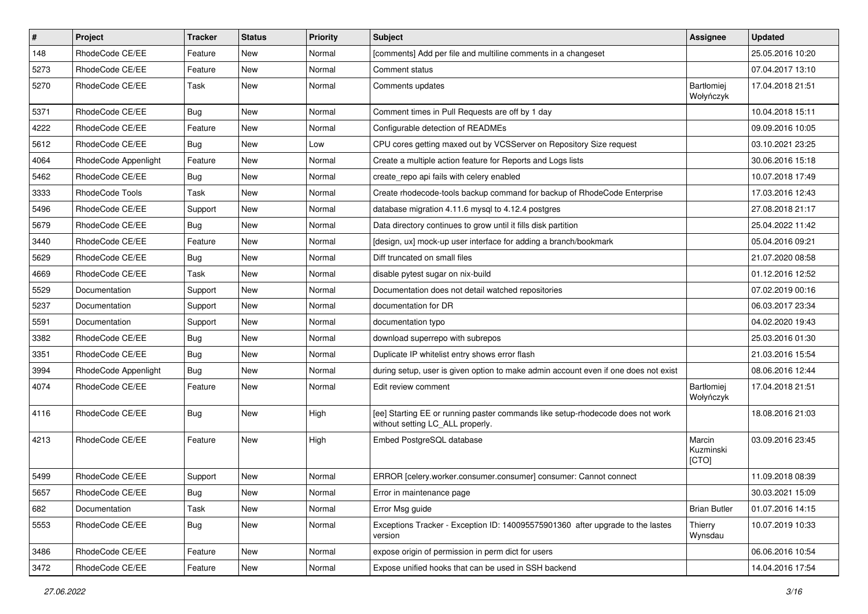| $\pmb{\#}$ | Project              | <b>Tracker</b> | <b>Status</b> | <b>Priority</b> | <b>Subject</b>                                                                                                     | <b>Assignee</b>              | <b>Updated</b>   |
|------------|----------------------|----------------|---------------|-----------------|--------------------------------------------------------------------------------------------------------------------|------------------------------|------------------|
| 148        | RhodeCode CE/EE      | Feature        | New           | Normal          | [comments] Add per file and multiline comments in a changeset                                                      |                              | 25.05.2016 10:20 |
| 5273       | RhodeCode CE/EE      | Feature        | <b>New</b>    | Normal          | Comment status                                                                                                     |                              | 07.04.2017 13:10 |
| 5270       | RhodeCode CE/EE      | Task           | New           | Normal          | Comments updates                                                                                                   | Bartłomiej<br>Wołyńczyk      | 17.04.2018 21:51 |
| 5371       | RhodeCode CE/EE      | Bug            | <b>New</b>    | Normal          | Comment times in Pull Requests are off by 1 day                                                                    |                              | 10.04.2018 15:11 |
| 4222       | RhodeCode CE/EE      | Feature        | New           | Normal          | Configurable detection of READMEs                                                                                  |                              | 09.09.2016 10:05 |
| 5612       | RhodeCode CE/EE      | Bug            | New           | Low             | CPU cores getting maxed out by VCSServer on Repository Size request                                                |                              | 03.10.2021 23:25 |
| 4064       | RhodeCode Appenlight | Feature        | New           | Normal          | Create a multiple action feature for Reports and Logs lists                                                        |                              | 30.06.2016 15:18 |
| 5462       | RhodeCode CE/EE      | Bug            | New           | Normal          | create_repo api fails with celery enabled                                                                          |                              | 10.07.2018 17:49 |
| 3333       | RhodeCode Tools      | Task           | <b>New</b>    | Normal          | Create rhodecode-tools backup command for backup of RhodeCode Enterprise                                           |                              | 17.03.2016 12:43 |
| 5496       | RhodeCode CE/EE      | Support        | New           | Normal          | database migration 4.11.6 mysql to 4.12.4 postgres                                                                 |                              | 27.08.2018 21:17 |
| 5679       | RhodeCode CE/EE      | Bug            | New           | Normal          | Data directory continues to grow until it fills disk partition                                                     |                              | 25.04.2022 11:42 |
| 3440       | RhodeCode CE/EE      | Feature        | New           | Normal          | [design, ux] mock-up user interface for adding a branch/bookmark                                                   |                              | 05.04.2016 09:21 |
| 5629       | RhodeCode CE/EE      | Bug            | New           | Normal          | Diff truncated on small files                                                                                      |                              | 21.07.2020 08:58 |
| 4669       | RhodeCode CE/EE      | Task           | New           | Normal          | disable pytest sugar on nix-build                                                                                  |                              | 01.12.2016 12:52 |
| 5529       | Documentation        | Support        | New           | Normal          | Documentation does not detail watched repositories                                                                 |                              | 07.02.2019 00:16 |
| 5237       | Documentation        | Support        | New           | Normal          | documentation for DR                                                                                               |                              | 06.03.2017 23:34 |
| 5591       | Documentation        | Support        | <b>New</b>    | Normal          | documentation typo                                                                                                 |                              | 04.02.2020 19:43 |
| 3382       | RhodeCode CE/EE      | <b>Bug</b>     | New           | Normal          | download superrepo with subrepos                                                                                   |                              | 25.03.2016 01:30 |
| 3351       | RhodeCode CE/EE      | Bug            | New           | Normal          | Duplicate IP whitelist entry shows error flash                                                                     |                              | 21.03.2016 15:54 |
| 3994       | RhodeCode Appenlight | Bug            | New           | Normal          | during setup, user is given option to make admin account even if one does not exist                                |                              | 08.06.2016 12:44 |
| 4074       | RhodeCode CE/EE      | Feature        | New           | Normal          | Edit review comment                                                                                                | Bartłomiej<br>Wołyńczyk      | 17.04.2018 21:51 |
| 4116       | RhodeCode CE/EE      | Bug            | New           | High            | [ee] Starting EE or running paster commands like setup-rhodecode does not work<br>without setting LC_ALL properly. |                              | 18.08.2016 21:03 |
| 4213       | RhodeCode CE/EE      | Feature        | <b>New</b>    | High            | Embed PostgreSQL database                                                                                          | Marcin<br>Kuzminski<br>[CTO] | 03.09.2016 23:45 |
| 5499       | RhodeCode CE/EE      | Support        | <b>New</b>    | Normal          | ERROR [celery.worker.consumer.consumer] consumer: Cannot connect                                                   |                              | 11.09.2018 08:39 |
| 5657       | RhodeCode CE/EE      | <b>Bug</b>     | New           | Normal          | Error in maintenance page                                                                                          |                              | 30.03.2021 15:09 |
| 682        | Documentation        | Task           | <b>New</b>    | Normal          | Error Msg guide                                                                                                    | <b>Brian Butler</b>          | 01.07.2016 14:15 |
| 5553       | RhodeCode CE/EE      | Bug            | New           | Normal          | Exceptions Tracker - Exception ID: 140095575901360 after upgrade to the lastes<br>version                          | Thierry<br>Wynsdau           | 10.07.2019 10:33 |
| 3486       | RhodeCode CE/EE      | Feature        | New           | Normal          | expose origin of permission in perm dict for users                                                                 |                              | 06.06.2016 10:54 |
| 3472       | RhodeCode CE/EE      | Feature        | New           | Normal          | Expose unified hooks that can be used in SSH backend                                                               |                              | 14.04.2016 17:54 |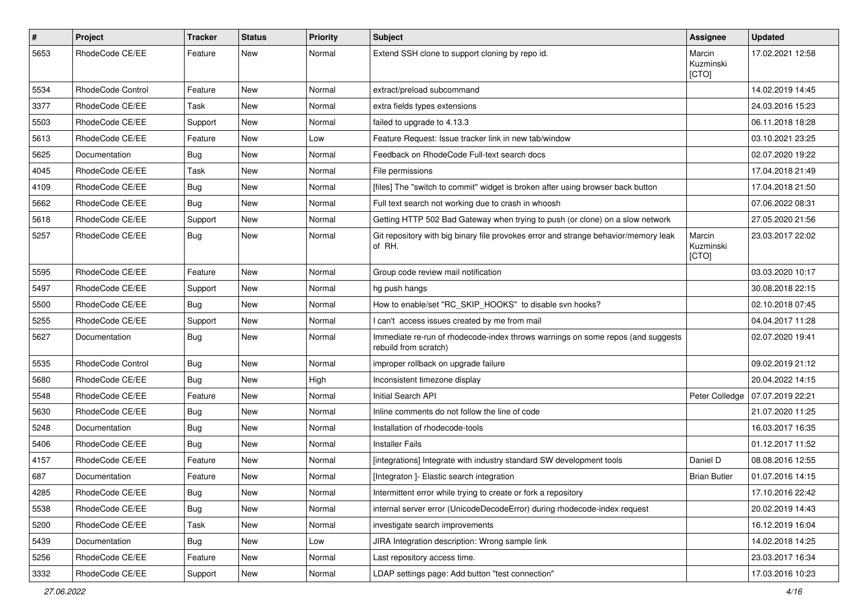| $\#$ | Project           | Tracker    | <b>Status</b> | <b>Priority</b> | Subject                                                                                                  | Assignee                     | <b>Updated</b>   |
|------|-------------------|------------|---------------|-----------------|----------------------------------------------------------------------------------------------------------|------------------------------|------------------|
| 5653 | RhodeCode CE/EE   | Feature    | New           | Normal          | Extend SSH clone to support cloning by repo id.                                                          | Marcin<br>Kuzminski<br>[CTO] | 17.02.2021 12:58 |
| 5534 | RhodeCode Control | Feature    | New           | Normal          | extract/preload subcommand                                                                               |                              | 14.02.2019 14:45 |
| 3377 | RhodeCode CE/EE   | Task       | <b>New</b>    | Normal          | extra fields types extensions                                                                            |                              | 24.03.2016 15:23 |
| 5503 | RhodeCode CE/EE   | Support    | New           | Normal          | failed to upgrade to 4.13.3                                                                              |                              | 06.11.2018 18:28 |
| 5613 | RhodeCode CE/EE   | Feature    | New           | Low             | Feature Request: Issue tracker link in new tab/window                                                    |                              | 03.10.2021 23:25 |
| 5625 | Documentation     | <b>Bug</b> | New           | Normal          | Feedback on RhodeCode Full-text search docs                                                              |                              | 02.07.2020 19:22 |
| 4045 | RhodeCode CE/EE   | Task       | New           | Normal          | File permissions                                                                                         |                              | 17.04.2018 21:49 |
| 4109 | RhodeCode CE/EE   | Bug        | New           | Normal          | [files] The "switch to commit" widget is broken after using browser back button                          |                              | 17.04.2018 21:50 |
| 5662 | RhodeCode CE/EE   | <b>Bug</b> | New           | Normal          | Full text search not working due to crash in whoosh                                                      |                              | 07.06.2022 08:31 |
| 5618 | RhodeCode CE/EE   | Support    | New           | Normal          | Getting HTTP 502 Bad Gateway when trying to push (or clone) on a slow network                            |                              | 27.05.2020 21:56 |
| 5257 | RhodeCode CE/EE   | Bug        | New           | Normal          | Git repository with big binary file provokes error and strange behavior/memory leak<br>of RH.            | Marcin<br>Kuzminski<br>[CTO] | 23.03.2017 22:02 |
| 5595 | RhodeCode CE/EE   | Feature    | New           | Normal          | Group code review mail notification                                                                      |                              | 03.03.2020 10:17 |
| 5497 | RhodeCode CE/EE   | Support    | New           | Normal          | hg push hangs                                                                                            |                              | 30.08.2018 22:15 |
| 5500 | RhodeCode CE/EE   | Bug        | New           | Normal          | How to enable/set "RC_SKIP_HOOKS" to disable svn hooks?                                                  |                              | 02.10.2018 07:45 |
| 5255 | RhodeCode CE/EE   | Support    | New           | Normal          | I can't access issues created by me from mail                                                            |                              | 04.04.2017 11:28 |
| 5627 | Documentation     | Bug        | New           | Normal          | Immediate re-run of rhodecode-index throws warnings on some repos (and suggests<br>rebuild from scratch) |                              | 02.07.2020 19:41 |
| 5535 | RhodeCode Control | Bug        | New           | Normal          | improper rollback on upgrade failure                                                                     |                              | 09.02.2019 21:12 |
| 5680 | RhodeCode CE/EE   | Bug        | New           | High            | Inconsistent timezone display                                                                            |                              | 20.04.2022 14:15 |
| 5548 | RhodeCode CE/EE   | Feature    | New           | Normal          | Initial Search API                                                                                       | Peter Colledge               | 07.07.2019 22:21 |
| 5630 | RhodeCode CE/EE   | Bug        | New           | Normal          | Inline comments do not follow the line of code                                                           |                              | 21.07.2020 11:25 |
| 5248 | Documentation     | <b>Bug</b> | New           | Normal          | Installation of rhodecode-tools                                                                          |                              | 16.03.2017 16:35 |
| 5406 | RhodeCode CE/EE   | Bug        | New           | Normal          | <b>Installer Fails</b>                                                                                   |                              | 01.12.2017 11:52 |
| 4157 | RhodeCode CE/EE   | Feature    | New           | Normal          | [integrations] Integrate with industry standard SW development tools                                     | Daniel D                     | 08.08.2016 12:55 |
| 687  | Documentation     | Feature    | New           | Normal          | [Integraton] - Elastic search integration                                                                | <b>Brian Butler</b>          | 01.07.2016 14:15 |
| 4285 | RhodeCode CE/EE   | <b>Bug</b> | New           | Normal          | Intermittent error while trying to create or fork a repository                                           |                              | 17.10.2016 22:42 |
| 5538 | RhodeCode CE/EE   | Bug        | New           | Normal          | internal server error (UnicodeDecodeError) during rhodecode-index request                                |                              | 20.02.2019 14:43 |
| 5200 | RhodeCode CE/EE   | Task       | New           | Normal          | investigate search improvements                                                                          |                              | 16.12.2019 16:04 |
| 5439 | Documentation     | Bug        | New           | Low             | JIRA Integration description: Wrong sample link                                                          |                              | 14.02.2018 14:25 |
| 5256 | RhodeCode CE/EE   | Feature    | New           | Normal          | Last repository access time.                                                                             |                              | 23.03.2017 16:34 |
| 3332 | RhodeCode CE/EE   | Support    | New           | Normal          | LDAP settings page: Add button "test connection"                                                         |                              | 17.03.2016 10:23 |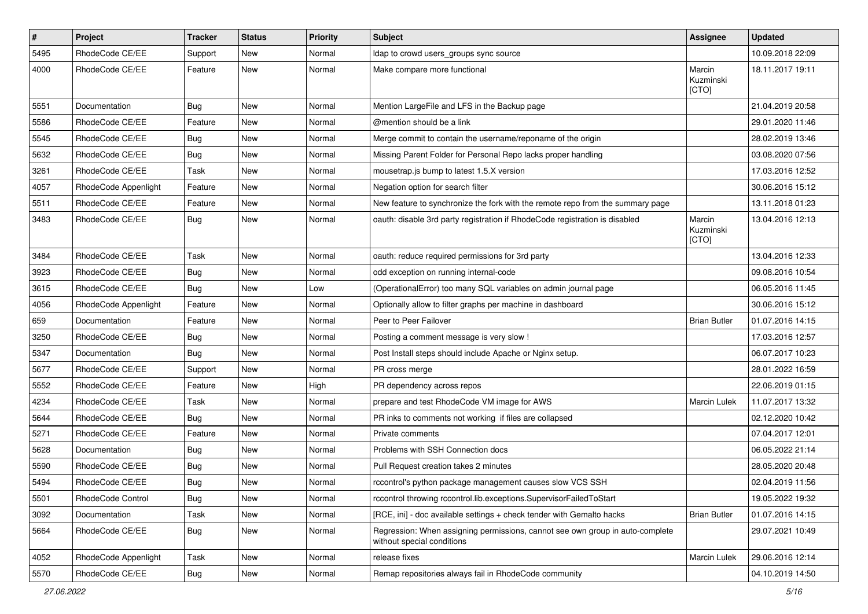| $\pmb{\#}$ | Project              | <b>Tracker</b> | <b>Status</b> | <b>Priority</b> | <b>Subject</b>                                                                                              | Assignee                     | <b>Updated</b>   |
|------------|----------------------|----------------|---------------|-----------------|-------------------------------------------------------------------------------------------------------------|------------------------------|------------------|
| 5495       | RhodeCode CE/EE      | Support        | New           | Normal          | Idap to crowd users_groups sync source                                                                      |                              | 10.09.2018 22:09 |
| 4000       | RhodeCode CE/EE      | Feature        | <b>New</b>    | Normal          | Make compare more functional                                                                                | Marcin<br>Kuzminski<br>[CTO] | 18.11.2017 19:11 |
| 5551       | Documentation        | Bug            | <b>New</b>    | Normal          | Mention LargeFile and LFS in the Backup page                                                                |                              | 21.04.2019 20:58 |
| 5586       | RhodeCode CE/EE      | Feature        | New           | Normal          | @mention should be a link                                                                                   |                              | 29.01.2020 11:46 |
| 5545       | RhodeCode CE/EE      | <b>Bug</b>     | <b>New</b>    | Normal          | Merge commit to contain the username/reponame of the origin                                                 |                              | 28.02.2019 13:46 |
| 5632       | RhodeCode CE/EE      | Bug            | New           | Normal          | Missing Parent Folder for Personal Repo lacks proper handling                                               |                              | 03.08.2020 07:56 |
| 3261       | RhodeCode CE/EE      | Task           | New           | Normal          | mousetrap.js bump to latest 1.5.X version                                                                   |                              | 17.03.2016 12:52 |
| 4057       | RhodeCode Appenlight | Feature        | <b>New</b>    | Normal          | Negation option for search filter                                                                           |                              | 30.06.2016 15:12 |
| 5511       | RhodeCode CE/EE      | Feature        | New           | Normal          | New feature to synchronize the fork with the remote repo from the summary page                              |                              | 13.11.2018 01:23 |
| 3483       | RhodeCode CE/EE      | Bug            | New           | Normal          | oauth: disable 3rd party registration if RhodeCode registration is disabled                                 | Marcin<br>Kuzminski<br>[CTO] | 13.04.2016 12:13 |
| 3484       | RhodeCode CE/EE      | Task           | <b>New</b>    | Normal          | oauth: reduce required permissions for 3rd party                                                            |                              | 13.04.2016 12:33 |
| 3923       | RhodeCode CE/EE      | Bug            | New           | Normal          | odd exception on running internal-code                                                                      |                              | 09.08.2016 10:54 |
| 3615       | RhodeCode CE/EE      | Bug            | <b>New</b>    | Low             | (OperationalError) too many SQL variables on admin journal page                                             |                              | 06.05.2016 11:45 |
| 4056       | RhodeCode Appenlight | Feature        | <b>New</b>    | Normal          | Optionally allow to filter graphs per machine in dashboard                                                  |                              | 30.06.2016 15:12 |
| 659        | Documentation        | Feature        | New           | Normal          | Peer to Peer Failover                                                                                       | <b>Brian Butler</b>          | 01.07.2016 14:15 |
| 3250       | RhodeCode CE/EE      | Bug            | New           | Normal          | Posting a comment message is very slow !                                                                    |                              | 17.03.2016 12:57 |
| 5347       | Documentation        | Bug            | <b>New</b>    | Normal          | Post Install steps should include Apache or Nginx setup.                                                    |                              | 06.07.2017 10:23 |
| 5677       | RhodeCode CE/EE      | Support        | New           | Normal          | PR cross merge                                                                                              |                              | 28.01.2022 16:59 |
| 5552       | RhodeCode CE/EE      | Feature        | <b>New</b>    | High            | PR dependency across repos                                                                                  |                              | 22.06.2019 01:15 |
| 4234       | RhodeCode CE/EE      | Task           | New           | Normal          | prepare and test RhodeCode VM image for AWS                                                                 | Marcin Lulek                 | 11.07.2017 13:32 |
| 5644       | RhodeCode CE/EE      | <b>Bug</b>     | New           | Normal          | PR inks to comments not working if files are collapsed                                                      |                              | 02.12.2020 10:42 |
| 5271       | RhodeCode CE/EE      | Feature        | <b>New</b>    | Normal          | Private comments                                                                                            |                              | 07.04.2017 12:01 |
| 5628       | Documentation        | <b>Bug</b>     | New           | Normal          | Problems with SSH Connection docs                                                                           |                              | 06.05.2022 21:14 |
| 5590       | RhodeCode CE/EE      | <b>Bug</b>     | New           | Normal          | Pull Request creation takes 2 minutes                                                                       |                              | 28.05.2020 20:48 |
| 5494       | RhodeCode CE/EE      | Bug            | New           | Normal          | rccontrol's python package management causes slow VCS SSH                                                   |                              | 02.04.2019 11:56 |
| 5501       | RhodeCode Control    | <b>Bug</b>     | New           | Normal          | rccontrol throwing rccontrol.lib.exceptions.SupervisorFailedToStart                                         |                              | 19.05.2022 19:32 |
| 3092       | Documentation        | Task           | New           | Normal          | [RCE, ini] - doc available settings + check tender with Gemalto hacks                                       | <b>Brian Butler</b>          | 01.07.2016 14:15 |
| 5664       | RhodeCode CE/EE      | <b>Bug</b>     | New           | Normal          | Regression: When assigning permissions, cannot see own group in auto-complete<br>without special conditions |                              | 29.07.2021 10:49 |
| 4052       | RhodeCode Appenlight | Task           | New           | Normal          | release fixes                                                                                               | Marcin Lulek                 | 29.06.2016 12:14 |
| 5570       | RhodeCode CE/EE      | <b>Bug</b>     | New           | Normal          | Remap repositories always fail in RhodeCode community                                                       |                              | 04.10.2019 14:50 |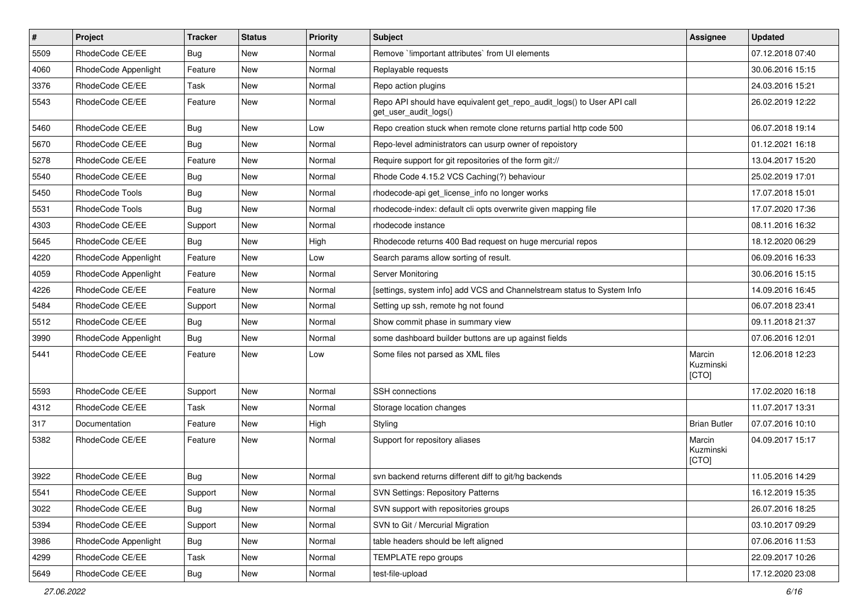| $\pmb{\#}$ | Project              | <b>Tracker</b> | <b>Status</b> | <b>Priority</b> | <b>Subject</b>                                                                                  | <b>Assignee</b>              | <b>Updated</b>   |
|------------|----------------------|----------------|---------------|-----------------|-------------------------------------------------------------------------------------------------|------------------------------|------------------|
| 5509       | RhodeCode CE/EE      | <b>Bug</b>     | New           | Normal          | Remove `!important attributes` from UI elements                                                 |                              | 07.12.2018 07:40 |
| 4060       | RhodeCode Appenlight | Feature        | <b>New</b>    | Normal          | Replayable requests                                                                             |                              | 30.06.2016 15:15 |
| 3376       | RhodeCode CE/EE      | Task           | New           | Normal          | Repo action plugins                                                                             |                              | 24.03.2016 15:21 |
| 5543       | RhodeCode CE/EE      | Feature        | New           | Normal          | Repo API should have equivalent get_repo_audit_logs() to User API call<br>get_user_audit_logs() |                              | 26.02.2019 12:22 |
| 5460       | RhodeCode CE/EE      | Bug            | <b>New</b>    | Low             | Repo creation stuck when remote clone returns partial http code 500                             |                              | 06.07.2018 19:14 |
| 5670       | RhodeCode CE/EE      | Bug            | New           | Normal          | Repo-level administrators can usurp owner of repoistory                                         |                              | 01.12.2021 16:18 |
| 5278       | RhodeCode CE/EE      | Feature        | <b>New</b>    | Normal          | Require support for git repositories of the form git://                                         |                              | 13.04.2017 15:20 |
| 5540       | RhodeCode CE/EE      | <b>Bug</b>     | New           | Normal          | Rhode Code 4.15.2 VCS Caching(?) behaviour                                                      |                              | 25.02.2019 17:01 |
| 5450       | RhodeCode Tools      | Bug            | <b>New</b>    | Normal          | rhodecode-api get_license_info no longer works                                                  |                              | 17.07.2018 15:01 |
| 5531       | RhodeCode Tools      | Bug            | New           | Normal          | rhodecode-index: default cli opts overwrite given mapping file                                  |                              | 17.07.2020 17:36 |
| 4303       | RhodeCode CE/EE      | Support        | New           | Normal          | rhodecode instance                                                                              |                              | 08.11.2016 16:32 |
| 5645       | RhodeCode CE/EE      | Bug            | <b>New</b>    | High            | Rhodecode returns 400 Bad request on huge mercurial repos                                       |                              | 18.12.2020 06:29 |
| 4220       | RhodeCode Appenlight | Feature        | New           | Low             | Search params allow sorting of result.                                                          |                              | 06.09.2016 16:33 |
| 4059       | RhodeCode Appenlight | Feature        | <b>New</b>    | Normal          | Server Monitoring                                                                               |                              | 30.06.2016 15:15 |
| 4226       | RhodeCode CE/EE      | Feature        | New           | Normal          | [settings, system info] add VCS and Channelstream status to System Info                         |                              | 14.09.2016 16:45 |
| 5484       | RhodeCode CE/EE      | Support        | <b>New</b>    | Normal          | Setting up ssh, remote hg not found                                                             |                              | 06.07.2018 23:41 |
| 5512       | RhodeCode CE/EE      | Bug            | <b>New</b>    | Normal          | Show commit phase in summary view                                                               |                              | 09.11.2018 21:37 |
| 3990       | RhodeCode Appenlight | Bug            | New           | Normal          | some dashboard builder buttons are up against fields                                            |                              | 07.06.2016 12:01 |
| 5441       | RhodeCode CE/EE      | Feature        | New           | Low             | Some files not parsed as XML files                                                              | Marcin<br>Kuzminski<br>[CTO] | 12.06.2018 12:23 |
| 5593       | RhodeCode CE/EE      | Support        | <b>New</b>    | Normal          | SSH connections                                                                                 |                              | 17.02.2020 16:18 |
| 4312       | RhodeCode CE/EE      | Task           | New           | Normal          | Storage location changes                                                                        |                              | 11.07.2017 13:31 |
| 317        | Documentation        | Feature        | <b>New</b>    | High            | Styling                                                                                         | <b>Brian Butler</b>          | 07.07.2016 10:10 |
| 5382       | RhodeCode CE/EE      | Feature        | <b>New</b>    | Normal          | Support for repository aliases                                                                  | Marcin<br>Kuzminski<br>[CTO] | 04.09.2017 15:17 |
| 3922       | RhodeCode CE/EE      | Bug            | <b>New</b>    | Normal          | svn backend returns different diff to git/hg backends                                           |                              | 11.05.2016 14:29 |
| 5541       | RhodeCode CE/EE      | Support        | New           | Normal          | <b>SVN Settings: Repository Patterns</b>                                                        |                              | 16.12.2019 15:35 |
| 3022       | RhodeCode CE/EE      | Bug            | New           | Normal          | SVN support with repositories groups                                                            |                              | 26.07.2016 18:25 |
| 5394       | RhodeCode CE/EE      | Support        | New           | Normal          | SVN to Git / Mercurial Migration                                                                |                              | 03.10.2017 09:29 |
| 3986       | RhodeCode Appenlight | Bug            | New           | Normal          | table headers should be left aligned                                                            |                              | 07.06.2016 11:53 |
| 4299       | RhodeCode CE/EE      | Task           | New           | Normal          | TEMPLATE repo groups                                                                            |                              | 22.09.2017 10:26 |
| 5649       | RhodeCode CE/EE      | Bug            | New           | Normal          | test-file-upload                                                                                |                              | 17.12.2020 23:08 |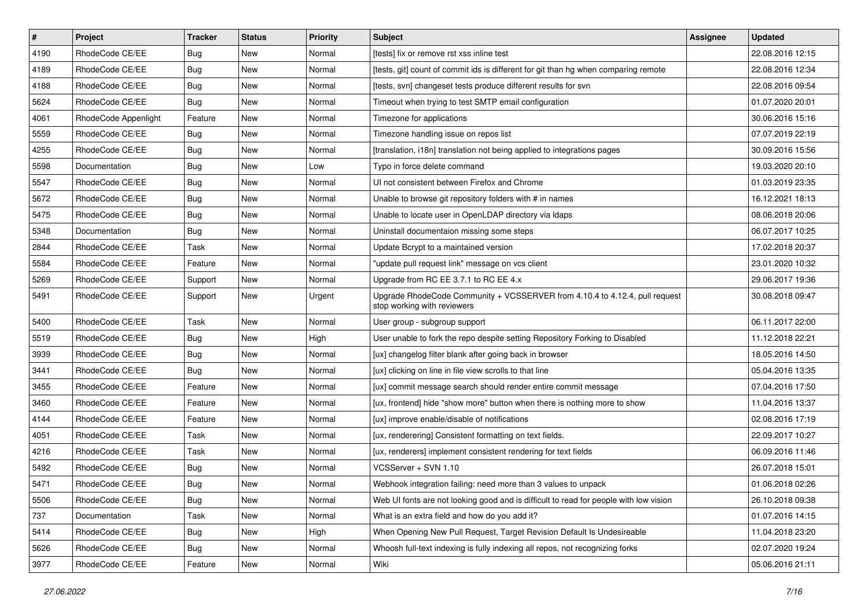| $\vert$ # | Project              | <b>Tracker</b> | <b>Status</b> | <b>Priority</b> | Subject                                                                                                    | <b>Assignee</b> | <b>Updated</b>   |
|-----------|----------------------|----------------|---------------|-----------------|------------------------------------------------------------------------------------------------------------|-----------------|------------------|
| 4190      | RhodeCode CE/EE      | Bug            | New           | Normal          | [tests] fix or remove rst xss inline test                                                                  |                 | 22.08.2016 12:15 |
| 4189      | RhodeCode CE/EE      | Bug            | New           | Normal          | [tests, git] count of commit ids is different for git than hg when comparing remote                        |                 | 22.08.2016 12:34 |
| 4188      | RhodeCode CE/EE      | Bug            | New           | Normal          | [tests, svn] changeset tests produce different results for svn                                             |                 | 22.08.2016 09:54 |
| 5624      | RhodeCode CE/EE      | Bug            | New           | Normal          | Timeout when trying to test SMTP email configuration                                                       |                 | 01.07.2020 20:01 |
| 4061      | RhodeCode Appenlight | Feature        | <b>New</b>    | Normal          | Timezone for applications                                                                                  |                 | 30.06.2016 15:16 |
| 5559      | RhodeCode CE/EE      | Bug            | New           | Normal          | Timezone handling issue on repos list                                                                      |                 | 07.07.2019 22:19 |
| 4255      | RhodeCode CE/EE      | Bug            | <b>New</b>    | Normal          | [translation, i18n] translation not being applied to integrations pages                                    |                 | 30.09.2016 15:56 |
| 5598      | Documentation        | <b>Bug</b>     | New           | Low             | Typo in force delete command                                                                               |                 | 19.03.2020 20:10 |
| 5547      | RhodeCode CE/EE      | Bug            | <b>New</b>    | Normal          | UI not consistent between Firefox and Chrome                                                               |                 | 01.03.2019 23:35 |
| 5672      | RhodeCode CE/EE      | Bug            | <b>New</b>    | Normal          | Unable to browse git repository folders with # in names                                                    |                 | 16.12.2021 18:13 |
| 5475      | RhodeCode CE/EE      | Bug            | New           | Normal          | Unable to locate user in OpenLDAP directory via Idaps                                                      |                 | 08.06.2018 20:06 |
| 5348      | Documentation        | Bug            | New           | Normal          | Uninstall documentaion missing some steps                                                                  |                 | 06.07.2017 10:25 |
| 2844      | RhodeCode CE/EE      | Task           | <b>New</b>    | Normal          | Update Bcrypt to a maintained version                                                                      |                 | 17.02.2018 20:37 |
| 5584      | RhodeCode CE/EE      | Feature        | New           | Normal          | "update pull request link" message on vcs client                                                           |                 | 23.01.2020 10:32 |
| 5269      | RhodeCode CE/EE      | Support        | <b>New</b>    | Normal          | Upgrade from RC EE 3.7.1 to RC EE 4.x                                                                      |                 | 29.06.2017 19:36 |
| 5491      | RhodeCode CE/EE      | Support        | New           | Urgent          | Upgrade RhodeCode Community + VCSSERVER from 4.10.4 to 4.12.4, pull request<br>stop working with reviewers |                 | 30.08.2018 09:47 |
| 5400      | RhodeCode CE/EE      | Task           | <b>New</b>    | Normal          | User group - subgroup support                                                                              |                 | 06.11.2017 22:00 |
| 5519      | RhodeCode CE/EE      | Bug            | New           | High            | User unable to fork the repo despite setting Repository Forking to Disabled                                |                 | 11.12.2018 22:21 |
| 3939      | RhodeCode CE/EE      | Bug            | New           | Normal          | [ux] changelog filter blank after going back in browser                                                    |                 | 18.05.2016 14:50 |
| 3441      | RhodeCode CE/EE      | Bug            | <b>New</b>    | Normal          | [ux] clicking on line in file view scrolls to that line                                                    |                 | 05.04.2016 13:35 |
| 3455      | RhodeCode CE/EE      | Feature        | <b>New</b>    | Normal          | [ux] commit message search should render entire commit message                                             |                 | 07.04.2016 17:50 |
| 3460      | RhodeCode CE/EE      | Feature        | <b>New</b>    | Normal          | [ux, frontend] hide "show more" button when there is nothing more to show                                  |                 | 11.04.2016 13:37 |
| 4144      | RhodeCode CE/EE      | Feature        | New           | Normal          | [ux] improve enable/disable of notifications                                                               |                 | 02.08.2016 17:19 |
| 4051      | RhodeCode CE/EE      | Task           | New           | Normal          | [ux, renderering] Consistent formatting on text fields.                                                    |                 | 22.09.2017 10:27 |
| 4216      | RhodeCode CE/EE      | Task           | <b>New</b>    | Normal          | [ux, renderers] implement consistent rendering for text fields                                             |                 | 06.09.2016 11:46 |
| 5492      | RhodeCode CE/EE      | Bug            | New           | Normal          | VCSServer + SVN 1.10                                                                                       |                 | 26.07.2018 15:01 |
| 5471      | RhodeCode CE/EE      | <b>Bug</b>     | <b>New</b>    | Normal          | Webhook integration failing: need more than 3 values to unpack                                             |                 | 01.06.2018 02:26 |
| 5506      | RhodeCode CE/EE      | <b>Bug</b>     | New           | Normal          | Web UI fonts are not looking good and is difficult to read for people with low vision                      |                 | 26.10.2018 09:38 |
| 737       | Documentation        | Task           | New           | Normal          | What is an extra field and how do you add it?                                                              |                 | 01.07.2016 14:15 |
| 5414      | RhodeCode CE/EE      | <b>Bug</b>     | New           | High            | When Opening New Pull Request, Target Revision Default Is Undesireable                                     |                 | 11.04.2018 23:20 |
| 5626      | RhodeCode CE/EE      | <b>Bug</b>     | New           | Normal          | Whoosh full-text indexing is fully indexing all repos, not recognizing forks                               |                 | 02.07.2020 19:24 |
| 3977      | RhodeCode CE/EE      | Feature        | New           | Normal          | Wiki                                                                                                       |                 | 05.06.2016 21:11 |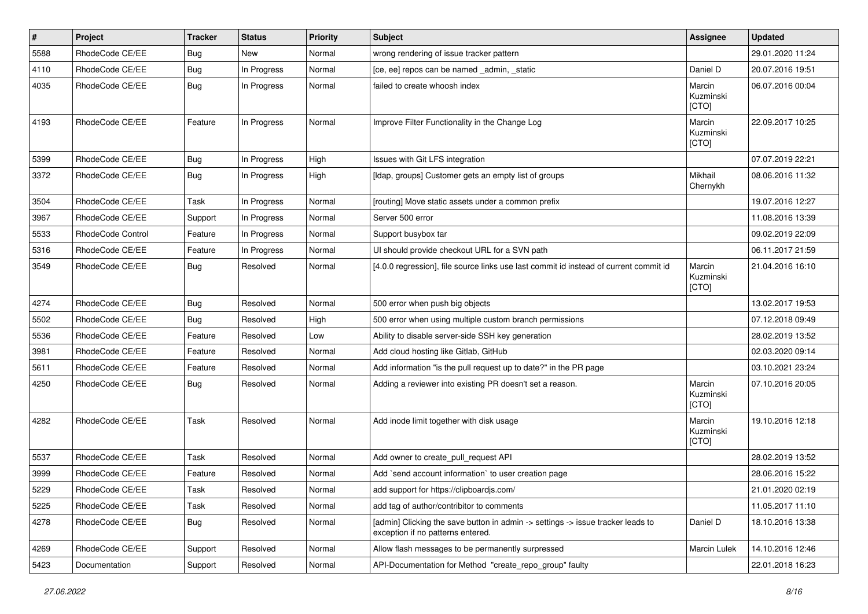| $\vert$ # | Project           | <b>Tracker</b> | <b>Status</b> | <b>Priority</b> | <b>Subject</b>                                                                                                       | Assignee                     | <b>Updated</b>   |
|-----------|-------------------|----------------|---------------|-----------------|----------------------------------------------------------------------------------------------------------------------|------------------------------|------------------|
| 5588      | RhodeCode CE/EE   | Bug            | New           | Normal          | wrong rendering of issue tracker pattern                                                                             |                              | 29.01.2020 11:24 |
| 4110      | RhodeCode CE/EE   | Bug            | In Progress   | Normal          | [ce, ee] repos can be named _admin, _static                                                                          | Daniel D                     | 20.07.2016 19:51 |
| 4035      | RhodeCode CE/EE   | Bug            | In Progress   | Normal          | failed to create whoosh index                                                                                        | Marcin<br>Kuzminski<br>[CTO] | 06.07.2016 00:04 |
| 4193      | RhodeCode CE/EE   | Feature        | In Progress   | Normal          | Improve Filter Functionality in the Change Log                                                                       | Marcin<br>Kuzminski<br>[CTO] | 22.09.2017 10:25 |
| 5399      | RhodeCode CE/EE   | Bug            | In Progress   | High            | Issues with Git LFS integration                                                                                      |                              | 07.07.2019 22:21 |
| 3372      | RhodeCode CE/EE   | Bug            | In Progress   | High            | [Idap, groups] Customer gets an empty list of groups                                                                 | Mikhail<br>Chernykh          | 08.06.2016 11:32 |
| 3504      | RhodeCode CE/EE   | Task           | In Progress   | Normal          | [routing] Move static assets under a common prefix                                                                   |                              | 19.07.2016 12:27 |
| 3967      | RhodeCode CE/EE   | Support        | In Progress   | Normal          | Server 500 error                                                                                                     |                              | 11.08.2016 13:39 |
| 5533      | RhodeCode Control | Feature        | In Progress   | Normal          | Support busybox tar                                                                                                  |                              | 09.02.2019 22:09 |
| 5316      | RhodeCode CE/EE   | Feature        | In Progress   | Normal          | UI should provide checkout URL for a SVN path                                                                        |                              | 06.11.2017 21:59 |
| 3549      | RhodeCode CE/EE   | Bug            | Resolved      | Normal          | [4.0.0 regression], file source links use last commit id instead of current commit id                                | Marcin<br>Kuzminski<br>[CTO] | 21.04.2016 16:10 |
| 4274      | RhodeCode CE/EE   | Bug            | Resolved      | Normal          | 500 error when push big objects                                                                                      |                              | 13.02.2017 19:53 |
| 5502      | RhodeCode CE/EE   | Bug            | Resolved      | High            | 500 error when using multiple custom branch permissions                                                              |                              | 07.12.2018 09:49 |
| 5536      | RhodeCode CE/EE   | Feature        | Resolved      | Low             | Ability to disable server-side SSH key generation                                                                    |                              | 28.02.2019 13:52 |
| 3981      | RhodeCode CE/EE   | Feature        | Resolved      | Normal          | Add cloud hosting like Gitlab, GitHub                                                                                |                              | 02.03.2020 09:14 |
| 5611      | RhodeCode CE/EE   | Feature        | Resolved      | Normal          | Add information "is the pull request up to date?" in the PR page                                                     |                              | 03.10.2021 23:24 |
| 4250      | RhodeCode CE/EE   | Bug            | Resolved      | Normal          | Adding a reviewer into existing PR doesn't set a reason.                                                             | Marcin<br>Kuzminski<br>[CTO] | 07.10.2016 20:05 |
| 4282      | RhodeCode CE/EE   | Task           | Resolved      | Normal          | Add inode limit together with disk usage                                                                             | Marcin<br>Kuzminski<br>[CTO] | 19.10.2016 12:18 |
| 5537      | RhodeCode CE/EE   | Task           | Resolved      | Normal          | Add owner to create_pull_request API                                                                                 |                              | 28.02.2019 13:52 |
| 3999      | RhodeCode CE/EE   | Feature        | Resolved      | Normal          | Add `send account information` to user creation page                                                                 |                              | 28.06.2016 15:22 |
| 5229      | RhodeCode CE/EE   | Task           | Resolved      | Normal          | add support for https://clipboardjs.com/                                                                             |                              | 21.01.2020 02:19 |
| 5225      | RhodeCode CE/EE   | Task           | Resolved      | Normal          | add tag of author/contribitor to comments                                                                            |                              | 11.05.2017 11:10 |
| 4278      | RhodeCode CE/EE   | Bug            | Resolved      | Normal          | [admin] Clicking the save button in admin -> settings -> issue tracker leads to<br>exception if no patterns entered. | Daniel D                     | 18.10.2016 13:38 |
| 4269      | RhodeCode CE/EE   | Support        | Resolved      | Normal          | Allow flash messages to be permanently surpressed                                                                    | Marcin Lulek                 | 14.10.2016 12:46 |
| 5423      | Documentation     | Support        | Resolved      | Normal          | API-Documentation for Method "create_repo_group" faulty                                                              |                              | 22.01.2018 16:23 |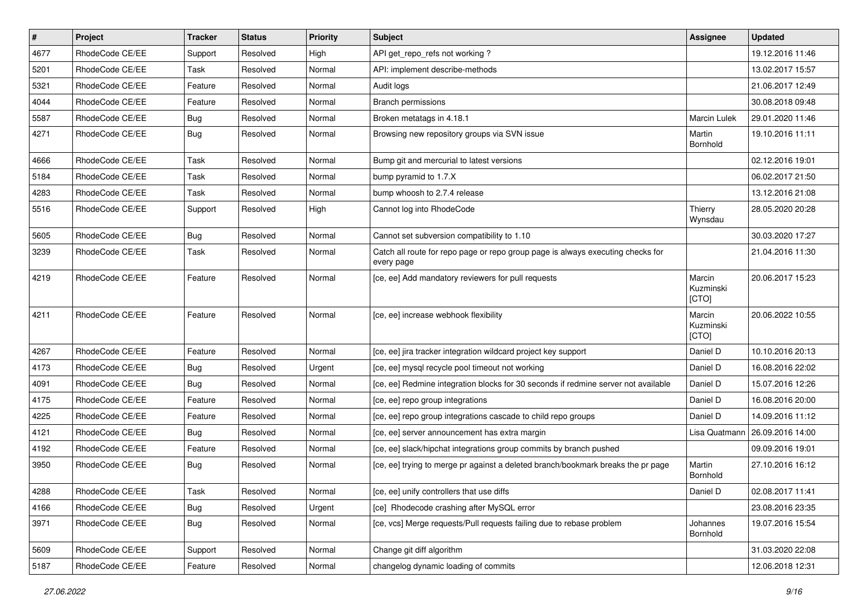| $\pmb{\#}$ | Project         | <b>Tracker</b> | <b>Status</b> | <b>Priority</b> | <b>Subject</b>                                                                                | <b>Assignee</b>              | <b>Updated</b>   |
|------------|-----------------|----------------|---------------|-----------------|-----------------------------------------------------------------------------------------------|------------------------------|------------------|
| 4677       | RhodeCode CE/EE | Support        | Resolved      | High            | API get_repo_refs not working?                                                                |                              | 19.12.2016 11:46 |
| 5201       | RhodeCode CE/EE | Task           | Resolved      | Normal          | API: implement describe-methods                                                               |                              | 13.02.2017 15:57 |
| 5321       | RhodeCode CE/EE | Feature        | Resolved      | Normal          | Audit logs                                                                                    |                              | 21.06.2017 12:49 |
| 4044       | RhodeCode CE/EE | Feature        | Resolved      | Normal          | <b>Branch permissions</b>                                                                     |                              | 30.08.2018 09:48 |
| 5587       | RhodeCode CE/EE | Bug            | Resolved      | Normal          | Broken metatags in 4.18.1                                                                     | Marcin Lulek                 | 29.01.2020 11:46 |
| 4271       | RhodeCode CE/EE | Bug            | Resolved      | Normal          | Browsing new repository groups via SVN issue                                                  | Martin<br>Bornhold           | 19.10.2016 11:11 |
| 4666       | RhodeCode CE/EE | Task           | Resolved      | Normal          | Bump git and mercurial to latest versions                                                     |                              | 02.12.2016 19:01 |
| 5184       | RhodeCode CE/EE | Task           | Resolved      | Normal          | bump pyramid to 1.7.X                                                                         |                              | 06.02.2017 21:50 |
| 4283       | RhodeCode CE/EE | Task           | Resolved      | Normal          | bump whoosh to 2.7.4 release                                                                  |                              | 13.12.2016 21:08 |
| 5516       | RhodeCode CE/EE | Support        | Resolved      | High            | Cannot log into RhodeCode                                                                     | Thierry<br>Wynsdau           | 28.05.2020 20:28 |
| 5605       | RhodeCode CE/EE | Bug            | Resolved      | Normal          | Cannot set subversion compatibility to 1.10                                                   |                              | 30.03.2020 17:27 |
| 3239       | RhodeCode CE/EE | Task           | Resolved      | Normal          | Catch all route for repo page or repo group page is always executing checks for<br>every page |                              | 21.04.2016 11:30 |
| 4219       | RhodeCode CE/EE | Feature        | Resolved      | Normal          | [ce, ee] Add mandatory reviewers for pull requests                                            | Marcin<br>Kuzminski<br>[CTO] | 20.06.2017 15:23 |
| 4211       | RhodeCode CE/EE | Feature        | Resolved      | Normal          | [ce, ee] increase webhook flexibility                                                         | Marcin<br>Kuzminski<br>[CTO] | 20.06.2022 10:55 |
| 4267       | RhodeCode CE/EE | Feature        | Resolved      | Normal          | [ce, ee] jira tracker integration wildcard project key support                                | Daniel D                     | 10.10.2016 20:13 |
| 4173       | RhodeCode CE/EE | Bug            | Resolved      | Urgent          | [ce, ee] mysql recycle pool timeout not working                                               | Daniel D                     | 16.08.2016 22:02 |
| 4091       | RhodeCode CE/EE | <b>Bug</b>     | Resolved      | Normal          | [ce, ee] Redmine integration blocks for 30 seconds if redmine server not available            | Daniel D                     | 15.07.2016 12:26 |
| 4175       | RhodeCode CE/EE | Feature        | Resolved      | Normal          | [ce, ee] repo group integrations                                                              | Daniel D                     | 16.08.2016 20:00 |
| 4225       | RhodeCode CE/EE | Feature        | Resolved      | Normal          | [ce, ee] repo group integrations cascade to child repo groups                                 | Daniel D                     | 14.09.2016 11:12 |
| 4121       | RhodeCode CE/EE | Bug            | Resolved      | Normal          | [ce, ee] server announcement has extra margin                                                 | Lisa Quatmann                | 26.09.2016 14:00 |
| 4192       | RhodeCode CE/EE | Feature        | Resolved      | Normal          | [ce, ee] slack/hipchat integrations group commits by branch pushed                            |                              | 09.09.2016 19:01 |
| 3950       | RhodeCode CE/EE | Bug            | Resolved      | Normal          | [ce, ee] trying to merge pr against a deleted branch/bookmark breaks the pr page              | Martin<br>Bornhold           | 27.10.2016 16:12 |
| 4288       | RhodeCode CE/EE | Task           | Resolved      | Normal          | [ce, ee] unify controllers that use diffs                                                     | Daniel D                     | 02.08.2017 11:41 |
| 4166       | RhodeCode CE/EE | Bug            | Resolved      | Urgent          | [ce] Rhodecode crashing after MySQL error                                                     |                              | 23.08.2016 23:35 |
| 3971       | RhodeCode CE/EE | Bug            | Resolved      | Normal          | [ce, vcs] Merge requests/Pull requests failing due to rebase problem                          | Johannes<br>Bornhold         | 19.07.2016 15:54 |
| 5609       | RhodeCode CE/EE | Support        | Resolved      | Normal          | Change git diff algorithm                                                                     |                              | 31.03.2020 22:08 |
| 5187       | RhodeCode CE/EE | Feature        | Resolved      | Normal          | changelog dynamic loading of commits                                                          |                              | 12.06.2018 12:31 |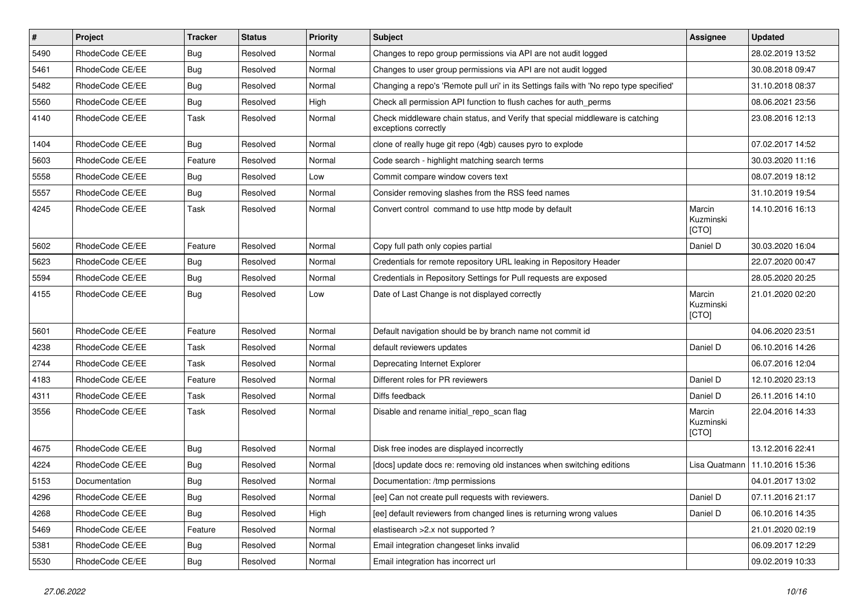| $\vert$ # | Project         | <b>Tracker</b> | <b>Status</b> | <b>Priority</b> | Subject                                                                                               | Assignee                     | <b>Updated</b>   |
|-----------|-----------------|----------------|---------------|-----------------|-------------------------------------------------------------------------------------------------------|------------------------------|------------------|
| 5490      | RhodeCode CE/EE | Bug            | Resolved      | Normal          | Changes to repo group permissions via API are not audit logged                                        |                              | 28.02.2019 13:52 |
| 5461      | RhodeCode CE/EE | Bug            | Resolved      | Normal          | Changes to user group permissions via API are not audit logged                                        |                              | 30.08.2018 09:47 |
| 5482      | RhodeCode CE/EE | Bug            | Resolved      | Normal          | Changing a repo's 'Remote pull uri' in its Settings fails with 'No repo type specified'               |                              | 31.10.2018 08:37 |
| 5560      | RhodeCode CE/EE | Bug            | Resolved      | High            | Check all permission API function to flush caches for auth_perms                                      |                              | 08.06.2021 23:56 |
| 4140      | RhodeCode CE/EE | Task           | Resolved      | Normal          | Check middleware chain status, and Verify that special middleware is catching<br>exceptions correctly |                              | 23.08.2016 12:13 |
| 1404      | RhodeCode CE/EE | Bug            | Resolved      | Normal          | clone of really huge git repo (4gb) causes pyro to explode                                            |                              | 07.02.2017 14:52 |
| 5603      | RhodeCode CE/EE | Feature        | Resolved      | Normal          | Code search - highlight matching search terms                                                         |                              | 30.03.2020 11:16 |
| 5558      | RhodeCode CE/EE | Bug            | Resolved      | Low             | Commit compare window covers text                                                                     |                              | 08.07.2019 18:12 |
| 5557      | RhodeCode CE/EE | <b>Bug</b>     | Resolved      | Normal          | Consider removing slashes from the RSS feed names                                                     |                              | 31.10.2019 19:54 |
| 4245      | RhodeCode CE/EE | Task           | Resolved      | Normal          | Convert control command to use http mode by default                                                   | Marcin<br>Kuzminski<br>[CTO] | 14.10.2016 16:13 |
| 5602      | RhodeCode CE/EE | Feature        | Resolved      | Normal          | Copy full path only copies partial                                                                    | Daniel D                     | 30.03.2020 16:04 |
| 5623      | RhodeCode CE/EE | Bug            | Resolved      | Normal          | Credentials for remote repository URL leaking in Repository Header                                    |                              | 22.07.2020 00:47 |
| 5594      | RhodeCode CE/EE | <b>Bug</b>     | Resolved      | Normal          | Credentials in Repository Settings for Pull requests are exposed                                      |                              | 28.05.2020 20:25 |
| 4155      | RhodeCode CE/EE | Bug            | Resolved      | Low             | Date of Last Change is not displayed correctly                                                        | Marcin<br>Kuzminski<br>[CTO] | 21.01.2020 02:20 |
| 5601      | RhodeCode CE/EE | Feature        | Resolved      | Normal          | Default navigation should be by branch name not commit id                                             |                              | 04.06.2020 23:51 |
| 4238      | RhodeCode CE/EE | Task           | Resolved      | Normal          | default reviewers updates                                                                             | Daniel D                     | 06.10.2016 14:26 |
| 2744      | RhodeCode CE/EE | Task           | Resolved      | Normal          | Deprecating Internet Explorer                                                                         |                              | 06.07.2016 12:04 |
| 4183      | RhodeCode CE/EE | Feature        | Resolved      | Normal          | Different roles for PR reviewers                                                                      | Daniel D                     | 12.10.2020 23:13 |
| 4311      | RhodeCode CE/EE | Task           | Resolved      | Normal          | Diffs feedback                                                                                        | Daniel D                     | 26.11.2016 14:10 |
| 3556      | RhodeCode CE/EE | Task           | Resolved      | Normal          | Disable and rename initial_repo_scan flag                                                             | Marcin<br>Kuzminski<br>[CTO] | 22.04.2016 14:33 |
| 4675      | RhodeCode CE/EE | Bug            | Resolved      | Normal          | Disk free inodes are displayed incorrectly                                                            |                              | 13.12.2016 22:41 |
| 4224      | RhodeCode CE/EE | Bug            | Resolved      | Normal          | [docs] update docs re: removing old instances when switching editions                                 | Lisa Quatmann                | 11.10.2016 15:36 |
| 5153      | Documentation   | <b>Bug</b>     | Resolved      | Normal          | Documentation: /tmp permissions                                                                       |                              | 04.01.2017 13:02 |
| 4296      | RhodeCode CE/EE | <b>Bug</b>     | Resolved      | Normal          | [ee] Can not create pull requests with reviewers.                                                     | Daniel D                     | 07.11.2016 21:17 |
| 4268      | RhodeCode CE/EE | Bug            | Resolved      | High            | [ee] default reviewers from changed lines is returning wrong values                                   | Daniel D                     | 06.10.2016 14:35 |
| 5469      | RhodeCode CE/EE | Feature        | Resolved      | Normal          | elastisearch > 2.x not supported ?                                                                    |                              | 21.01.2020 02:19 |
| 5381      | RhodeCode CE/EE | <b>Bug</b>     | Resolved      | Normal          | Email integration changeset links invalid                                                             |                              | 06.09.2017 12:29 |
| 5530      | RhodeCode CE/EE | Bug            | Resolved      | Normal          | Email integration has incorrect url                                                                   |                              | 09.02.2019 10:33 |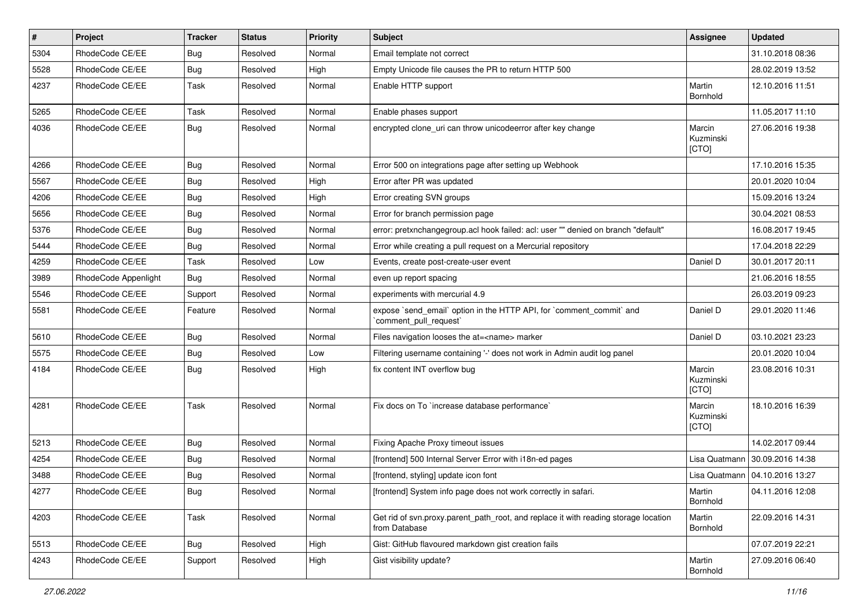| #    | Project              | <b>Tracker</b> | <b>Status</b> | Priority | <b>Subject</b>                                                                                       | Assignee                     | <b>Updated</b>                   |
|------|----------------------|----------------|---------------|----------|------------------------------------------------------------------------------------------------------|------------------------------|----------------------------------|
| 5304 | RhodeCode CE/EE      | <b>Bug</b>     | Resolved      | Normal   | Email template not correct                                                                           |                              | 31.10.2018 08:36                 |
| 5528 | RhodeCode CE/EE      | Bug            | Resolved      | High     | Empty Unicode file causes the PR to return HTTP 500                                                  |                              | 28.02.2019 13:52                 |
| 4237 | RhodeCode CE/EE      | Task           | Resolved      | Normal   | Enable HTTP support                                                                                  | Martin<br>Bornhold           | 12.10.2016 11:51                 |
| 5265 | RhodeCode CE/EE      | Task           | Resolved      | Normal   | Enable phases support                                                                                |                              | 11.05.2017 11:10                 |
| 4036 | RhodeCode CE/EE      | Bug            | Resolved      | Normal   | encrypted clone_uri can throw unicodeerror after key change                                          | Marcin<br>Kuzminski<br>[CTO] | 27.06.2016 19:38                 |
| 4266 | RhodeCode CE/EE      | Bug            | Resolved      | Normal   | Error 500 on integrations page after setting up Webhook                                              |                              | 17.10.2016 15:35                 |
| 5567 | RhodeCode CE/EE      | Bug            | Resolved      | High     | Error after PR was updated                                                                           |                              | 20.01.2020 10:04                 |
| 4206 | RhodeCode CE/EE      | Bug            | Resolved      | High     | Error creating SVN groups                                                                            |                              | 15.09.2016 13:24                 |
| 5656 | RhodeCode CE/EE      | Bug            | Resolved      | Normal   | Error for branch permission page                                                                     |                              | 30.04.2021 08:53                 |
| 5376 | RhodeCode CE/EE      | Bug            | Resolved      | Normal   | error: pretxnchangegroup.acl hook failed: acl: user "" denied on branch "default"                    |                              | 16.08.2017 19:45                 |
| 5444 | RhodeCode CE/EE      | Bug            | Resolved      | Normal   | Error while creating a pull request on a Mercurial repository                                        |                              | 17.04.2018 22:29                 |
| 4259 | RhodeCode CE/EE      | Task           | Resolved      | Low      | Events, create post-create-user event                                                                | Daniel D                     | 30.01.2017 20:11                 |
| 3989 | RhodeCode Appenlight | Bug            | Resolved      | Normal   | even up report spacing                                                                               |                              | 21.06.2016 18:55                 |
| 5546 | RhodeCode CE/EE      | Support        | Resolved      | Normal   | experiments with mercurial 4.9                                                                       |                              | 26.03.2019 09:23                 |
| 5581 | RhodeCode CE/EE      | Feature        | Resolved      | Normal   | expose `send_email` option in the HTTP API, for `comment_commit` and<br>`comment_pull_request`       | Daniel D                     | 29.01.2020 11:46                 |
| 5610 | RhodeCode CE/EE      | <b>Bug</b>     | Resolved      | Normal   | Files navigation looses the at= <name> marker</name>                                                 | Daniel D                     | 03.10.2021 23:23                 |
| 5575 | RhodeCode CE/EE      | Bug            | Resolved      | Low      | Filtering username containing '-' does not work in Admin audit log panel                             |                              | 20.01.2020 10:04                 |
| 4184 | RhodeCode CE/EE      | Bug            | Resolved      | High     | fix content INT overflow bug                                                                         | Marcin<br>Kuzminski<br>[CTO] | 23.08.2016 10:31                 |
| 4281 | RhodeCode CE/EE      | Task           | Resolved      | Normal   | Fix docs on To `increase database performance`                                                       | Marcin<br>Kuzminski<br>[CTO] | 18.10.2016 16:39                 |
| 5213 | RhodeCode CE/EE      | Bug            | Resolved      | Normal   | Fixing Apache Proxy timeout issues                                                                   |                              | 14.02.2017 09:44                 |
| 4254 | RhodeCode CE/EE      | Bug            | Resolved      | Normal   | [frontend] 500 Internal Server Error with i18n-ed pages                                              |                              | Lisa Quatmann 30.09.2016 14:38   |
| 3488 | RhodeCode CE/EE      | Bug            | Resolved      | Normal   | [frontend, styling] update icon font                                                                 |                              | Lisa Quatmann   04.10.2016 13:27 |
| 4277 | RhodeCode CE/EE      | Bug            | Resolved      | Normal   | [frontend] System info page does not work correctly in safari.                                       | Martin<br>Bornhold           | 04.11.2016 12:08                 |
| 4203 | RhodeCode CE/EE      | Task           | Resolved      | Normal   | Get rid of svn.proxy.parent_path_root, and replace it with reading storage location<br>from Database | Martin<br>Bornhold           | 22.09.2016 14:31                 |
| 5513 | RhodeCode CE/EE      | Bug            | Resolved      | High     | Gist: GitHub flavoured markdown gist creation fails                                                  |                              | 07.07.2019 22:21                 |
| 4243 | RhodeCode CE/EE      | Support        | Resolved      | High     | Gist visibility update?                                                                              | Martin<br><b>Bornhold</b>    | 27.09.2016 06:40                 |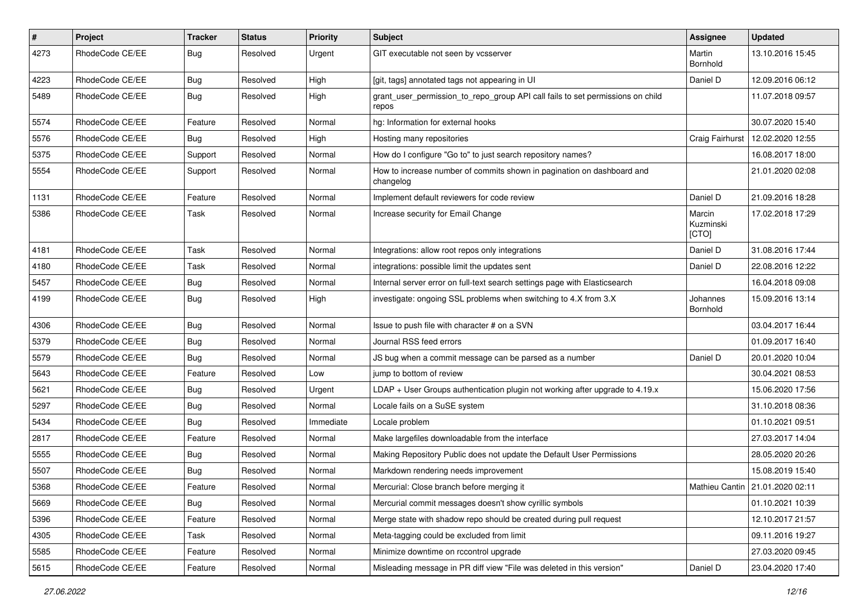| $\sharp$ | Project         | Tracker    | <b>Status</b> | <b>Priority</b> | <b>Subject</b>                                                                          | Assignee                     | <b>Updated</b>                    |
|----------|-----------------|------------|---------------|-----------------|-----------------------------------------------------------------------------------------|------------------------------|-----------------------------------|
| 4273     | RhodeCode CE/EE | <b>Bug</b> | Resolved      | Urgent          | GIT executable not seen by vcsserver                                                    | Martin<br>Bornhold           | 13.10.2016 15:45                  |
| 4223     | RhodeCode CE/EE | Bug        | Resolved      | High            | [git, tags] annotated tags not appearing in UI                                          | Daniel D                     | 12.09.2016 06:12                  |
| 5489     | RhodeCode CE/EE | Bug        | Resolved      | High            | grant_user_permission_to_repo_group API call fails to set permissions on child<br>repos |                              | 11.07.2018 09:57                  |
| 5574     | RhodeCode CE/EE | Feature    | Resolved      | Normal          | hg: Information for external hooks                                                      |                              | 30.07.2020 15:40                  |
| 5576     | RhodeCode CE/EE | <b>Bug</b> | Resolved      | High            | Hosting many repositories                                                               | Craig Fairhurst              | 12.02.2020 12:55                  |
| 5375     | RhodeCode CE/EE | Support    | Resolved      | Normal          | How do I configure "Go to" to just search repository names?                             |                              | 16.08.2017 18:00                  |
| 5554     | RhodeCode CE/EE | Support    | Resolved      | Normal          | How to increase number of commits shown in pagination on dashboard and<br>changelog     |                              | 21.01.2020 02:08                  |
| 1131     | RhodeCode CE/EE | Feature    | Resolved      | Normal          | Implement default reviewers for code review                                             | Daniel D                     | 21.09.2016 18:28                  |
| 5386     | RhodeCode CE/EE | Task       | Resolved      | Normal          | Increase security for Email Change                                                      | Marcin<br>Kuzminski<br>[CTO] | 17.02.2018 17:29                  |
| 4181     | RhodeCode CE/EE | Task       | Resolved      | Normal          | Integrations: allow root repos only integrations                                        | Daniel D                     | 31.08.2016 17:44                  |
| 4180     | RhodeCode CE/EE | Task       | Resolved      | Normal          | integrations: possible limit the updates sent                                           | Daniel D                     | 22.08.2016 12:22                  |
| 5457     | RhodeCode CE/EE | <b>Bug</b> | Resolved      | Normal          | Internal server error on full-text search settings page with Elasticsearch              |                              | 16.04.2018 09:08                  |
| 4199     | RhodeCode CE/EE | Bug        | Resolved      | High            | investigate: ongoing SSL problems when switching to 4.X from 3.X                        | Johannes<br>Bornhold         | 15.09.2016 13:14                  |
| 4306     | RhodeCode CE/EE | <b>Bug</b> | Resolved      | Normal          | Issue to push file with character # on a SVN                                            |                              | 03.04.2017 16:44                  |
| 5379     | RhodeCode CE/EE | Bug        | Resolved      | Normal          | Journal RSS feed errors                                                                 |                              | 01.09.2017 16:40                  |
| 5579     | RhodeCode CE/EE | <b>Bug</b> | Resolved      | Normal          | JS bug when a commit message can be parsed as a number                                  | Daniel D                     | 20.01.2020 10:04                  |
| 5643     | RhodeCode CE/EE | Feature    | Resolved      | Low             | jump to bottom of review                                                                |                              | 30.04.2021 08:53                  |
| 5621     | RhodeCode CE/EE | Bug        | Resolved      | Urgent          | $LDAP + User Groups authentication playing not working after upgrade to 4.19.x$         |                              | 15.06.2020 17:56                  |
| 5297     | RhodeCode CE/EE | <b>Bug</b> | Resolved      | Normal          | Locale fails on a SuSE system                                                           |                              | 31.10.2018 08:36                  |
| 5434     | RhodeCode CE/EE | Bug        | Resolved      | Immediate       | Locale problem                                                                          |                              | 01.10.2021 09:51                  |
| 2817     | RhodeCode CE/EE | Feature    | Resolved      | Normal          | Make largefiles downloadable from the interface                                         |                              | 27.03.2017 14:04                  |
| 5555     | RhodeCode CE/EE | Bug        | Resolved      | Normal          | Making Repository Public does not update the Default User Permissions                   |                              | 28.05.2020 20:26                  |
| 5507     | RhodeCode CE/EE | <b>Bug</b> | Resolved      | Normal          | Markdown rendering needs improvement                                                    |                              | 15.08.2019 15:40                  |
| 5368     | RhodeCode CE/EE | Feature    | Resolved      | Normal          | Mercurial: Close branch before merging it                                               |                              | Mathieu Cantin   21.01.2020 02:11 |
| 5669     | RhodeCode CE/EE | <b>Bug</b> | Resolved      | Normal          | Mercurial commit messages doesn't show cyrillic symbols                                 |                              | 01.10.2021 10:39                  |
| 5396     | RhodeCode CE/EE | Feature    | Resolved      | Normal          | Merge state with shadow repo should be created during pull request                      |                              | 12.10.2017 21:57                  |
| 4305     | RhodeCode CE/EE | Task       | Resolved      | Normal          | Meta-tagging could be excluded from limit                                               |                              | 09.11.2016 19:27                  |
| 5585     | RhodeCode CE/EE | Feature    | Resolved      | Normal          | Minimize downtime on rccontrol upgrade                                                  |                              | 27.03.2020 09:45                  |
| 5615     | RhodeCode CE/EE | Feature    | Resolved      | Normal          | Misleading message in PR diff view "File was deleted in this version"                   | Daniel D                     | 23.04.2020 17:40                  |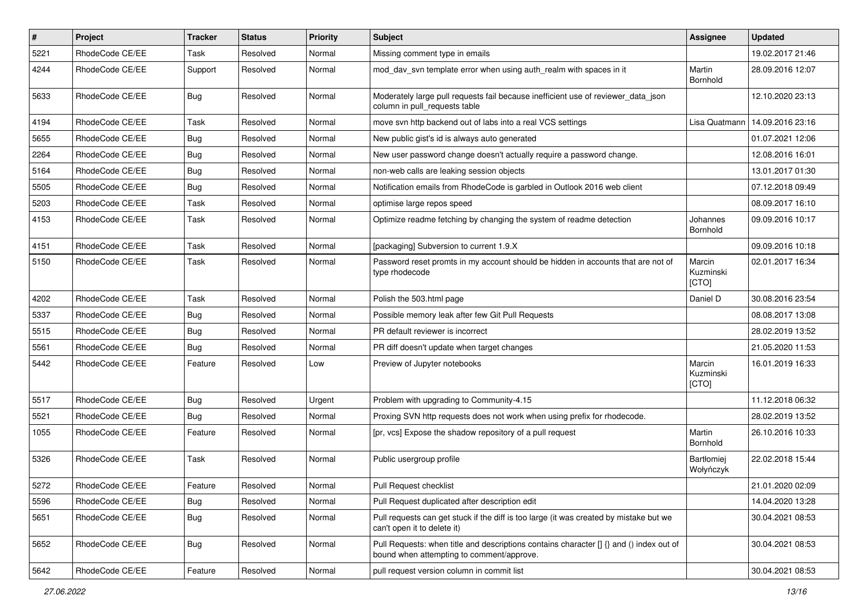| $\sharp$ | Project         | <b>Tracker</b> | <b>Status</b> | <b>Priority</b> | Subject                                                                                                                              | Assignee                     | <b>Updated</b>   |
|----------|-----------------|----------------|---------------|-----------------|--------------------------------------------------------------------------------------------------------------------------------------|------------------------------|------------------|
| 5221     | RhodeCode CE/EE | Task           | Resolved      | Normal          | Missing comment type in emails                                                                                                       |                              | 19.02.2017 21:46 |
| 4244     | RhodeCode CE/EE | Support        | Resolved      | Normal          | mod_dav_svn template error when using auth_realm with spaces in it                                                                   | Martin<br>Bornhold           | 28.09.2016 12:07 |
| 5633     | RhodeCode CE/EE | Bug            | Resolved      | Normal          | Moderately large pull requests fail because inefficient use of reviewer_data_json<br>column in pull requests table                   |                              | 12.10.2020 23:13 |
| 4194     | RhodeCode CE/EE | Task           | Resolved      | Normal          | move svn http backend out of labs into a real VCS settings                                                                           | Lisa Quatmann                | 14.09.2016 23:16 |
| 5655     | RhodeCode CE/EE | <b>Bug</b>     | Resolved      | Normal          | New public gist's id is always auto generated                                                                                        |                              | 01.07.2021 12:06 |
| 2264     | RhodeCode CE/EE | <b>Bug</b>     | Resolved      | Normal          | New user password change doesn't actually require a password change.                                                                 |                              | 12.08.2016 16:01 |
| 5164     | RhodeCode CE/EE | <b>Bug</b>     | Resolved      | Normal          | non-web calls are leaking session objects                                                                                            |                              | 13.01.2017 01:30 |
| 5505     | RhodeCode CE/EE | <b>Bug</b>     | Resolved      | Normal          | Notification emails from RhodeCode is garbled in Outlook 2016 web client                                                             |                              | 07.12.2018 09:49 |
| 5203     | RhodeCode CE/EE | Task           | Resolved      | Normal          | optimise large repos speed                                                                                                           |                              | 08.09.2017 16:10 |
| 4153     | RhodeCode CE/EE | Task           | Resolved      | Normal          | Optimize readme fetching by changing the system of readme detection                                                                  | Johannes<br>Bornhold         | 09.09.2016 10:17 |
| 4151     | RhodeCode CE/EE | Task           | Resolved      | Normal          | [packaging] Subversion to current 1.9.X                                                                                              |                              | 09.09.2016 10:18 |
| 5150     | RhodeCode CE/EE | Task           | Resolved      | Normal          | Password reset promts in my account should be hidden in accounts that are not of<br>type rhodecode                                   | Marcin<br>Kuzminski<br>[CTO] | 02.01.2017 16:34 |
| 4202     | RhodeCode CE/EE | Task           | Resolved      | Normal          | Polish the 503.html page                                                                                                             | Daniel D                     | 30.08.2016 23:54 |
| 5337     | RhodeCode CE/EE | Bug            | Resolved      | Normal          | Possible memory leak after few Git Pull Requests                                                                                     |                              | 08.08.2017 13:08 |
| 5515     | RhodeCode CE/EE | <b>Bug</b>     | Resolved      | Normal          | PR default reviewer is incorrect                                                                                                     |                              | 28.02.2019 13:52 |
| 5561     | RhodeCode CE/EE | Bug            | Resolved      | Normal          | PR diff doesn't update when target changes                                                                                           |                              | 21.05.2020 11:53 |
| 5442     | RhodeCode CE/EE | Feature        | Resolved      | Low             | Preview of Jupyter notebooks                                                                                                         | Marcin<br>Kuzminski<br>[CTO] | 16.01.2019 16:33 |
| 5517     | RhodeCode CE/EE | <b>Bug</b>     | Resolved      | Urgent          | Problem with upgrading to Community-4.15                                                                                             |                              | 11.12.2018 06:32 |
| 5521     | RhodeCode CE/EE | <b>Bug</b>     | Resolved      | Normal          | Proxing SVN http requests does not work when using prefix for rhodecode.                                                             |                              | 28.02.2019 13:52 |
| 1055     | RhodeCode CE/EE | Feature        | Resolved      | Normal          | [pr, vcs] Expose the shadow repository of a pull request                                                                             | Martin<br>Bornhold           | 26.10.2016 10:33 |
| 5326     | RhodeCode CE/EE | Task           | Resolved      | Normal          | Public usergroup profile                                                                                                             | Bartłomiej<br>Wołyńczyk      | 22.02.2018 15:44 |
| 5272     | RhodeCode CE/EE | Feature        | Resolved      | Normal          | <b>Pull Request checklist</b>                                                                                                        |                              | 21.01.2020 02:09 |
| 5596     | RhodeCode CE/EE | Bug            | Resolved      | Normal          | Pull Request duplicated after description edit                                                                                       |                              | 14.04.2020 13:28 |
| 5651     | RhodeCode CE/EE | <b>Bug</b>     | Resolved      | Normal          | Pull requests can get stuck if the diff is too large (it was created by mistake but we<br>can't open it to delete it)                |                              | 30.04.2021 08:53 |
| 5652     | RhodeCode CE/EE | Bug            | Resolved      | Normal          | Pull Requests: when title and descriptions contains character [] {} and () index out of<br>bound when attempting to comment/approve. |                              | 30.04.2021 08:53 |
| 5642     | RhodeCode CE/EE | Feature        | Resolved      | Normal          | pull request version column in commit list                                                                                           |                              | 30.04.2021 08:53 |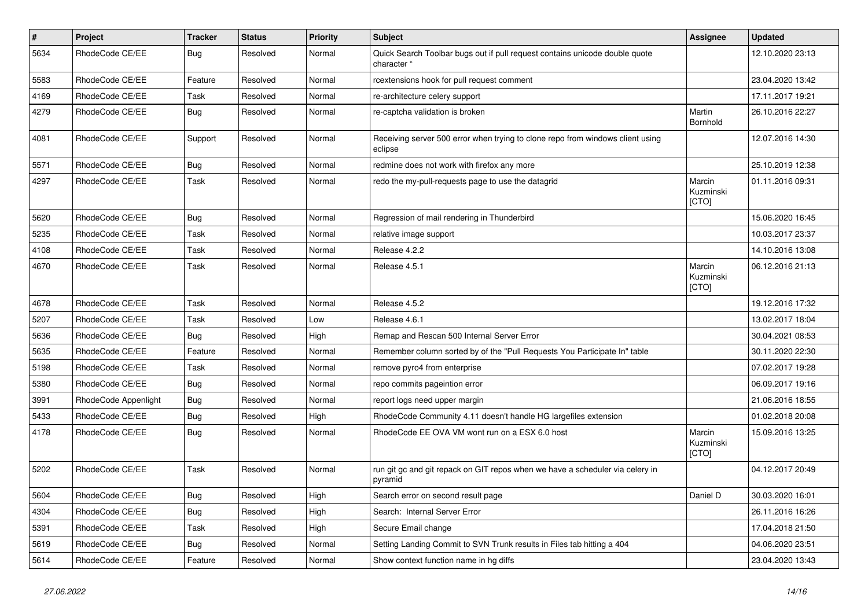| $\sharp$ | <b>Project</b>       | <b>Tracker</b> | <b>Status</b> | <b>Priority</b> | <b>Subject</b>                                                                             | <b>Assignee</b>              | <b>Updated</b>   |
|----------|----------------------|----------------|---------------|-----------------|--------------------------------------------------------------------------------------------|------------------------------|------------------|
| 5634     | RhodeCode CE/EE      | Bua            | Resolved      | Normal          | Quick Search Toolbar bugs out if pull request contains unicode double quote<br>character ' |                              | 12.10.2020 23:13 |
| 5583     | RhodeCode CE/EE      | Feature        | Resolved      | Normal          | rcextensions hook for pull request comment                                                 |                              | 23.04.2020 13:42 |
| 4169     | RhodeCode CE/EE      | Task           | Resolved      | Normal          | re-architecture celery support                                                             |                              | 17.11.2017 19:21 |
| 4279     | RhodeCode CE/EE      | Bug            | Resolved      | Normal          | re-captcha validation is broken                                                            | Martin<br>Bornhold           | 26.10.2016 22:27 |
| 4081     | RhodeCode CE/EE      | Support        | Resolved      | Normal          | Receiving server 500 error when trying to clone repo from windows client using<br>eclipse  |                              | 12.07.2016 14:30 |
| 5571     | RhodeCode CE/EE      | <b>Bug</b>     | Resolved      | Normal          | redmine does not work with firefox any more                                                |                              | 25.10.2019 12:38 |
| 4297     | RhodeCode CE/EE      | Task           | Resolved      | Normal          | redo the my-pull-requests page to use the datagrid                                         | Marcin<br>Kuzminski<br>[CTO] | 01.11.2016 09:31 |
| 5620     | RhodeCode CE/EE      | Bug            | Resolved      | Normal          | Regression of mail rendering in Thunderbird                                                |                              | 15.06.2020 16:45 |
| 5235     | RhodeCode CE/EE      | Task           | Resolved      | Normal          | relative image support                                                                     |                              | 10.03.2017 23:37 |
| 4108     | RhodeCode CE/EE      | Task           | Resolved      | Normal          | Release 4.2.2                                                                              |                              | 14.10.2016 13:08 |
| 4670     | RhodeCode CE/EE      | Task           | Resolved      | Normal          | Release 4.5.1                                                                              | Marcin<br>Kuzminski<br>[CTO] | 06.12.2016 21:13 |
| 4678     | RhodeCode CE/EE      | Task           | Resolved      | Normal          | Release 4.5.2                                                                              |                              | 19.12.2016 17:32 |
| 5207     | RhodeCode CE/EE      | Task           | Resolved      | Low             | Release 4.6.1                                                                              |                              | 13.02.2017 18:04 |
| 5636     | RhodeCode CE/EE      | Bug            | Resolved      | High            | Remap and Rescan 500 Internal Server Error                                                 |                              | 30.04.2021 08:53 |
| 5635     | RhodeCode CE/EE      | Feature        | Resolved      | Normal          | Remember column sorted by of the "Pull Requests You Participate In" table                  |                              | 30.11.2020 22:30 |
| 5198     | RhodeCode CE/EE      | Task           | Resolved      | Normal          | remove pyro4 from enterprise                                                               |                              | 07.02.2017 19:28 |
| 5380     | RhodeCode CE/EE      | <b>Bug</b>     | Resolved      | Normal          | repo commits pageintion error                                                              |                              | 06.09.2017 19:16 |
| 3991     | RhodeCode Appenlight | Bug            | Resolved      | Normal          | report logs need upper margin                                                              |                              | 21.06.2016 18:55 |
| 5433     | RhodeCode CE/EE      | Bug            | Resolved      | High            | RhodeCode Community 4.11 doesn't handle HG largefiles extension                            |                              | 01.02.2018 20:08 |
| 4178     | RhodeCode CE/EE      | Bug            | Resolved      | Normal          | RhodeCode EE OVA VM wont run on a ESX 6.0 host                                             | Marcin<br>Kuzminski<br>[CTO] | 15.09.2016 13:25 |
| 5202     | RhodeCode CE/EE      | Task           | Resolved      | Normal          | run git gc and git repack on GIT repos when we have a scheduler via celery in<br>pyramid   |                              | 04.12.2017 20:49 |
| 5604     | RhodeCode CE/EE      | Bug            | Resolved      | High            | Search error on second result page                                                         | Daniel D                     | 30.03.2020 16:01 |
| 4304     | RhodeCode CE/EE      | Bug            | Resolved      | High            | Search: Internal Server Error                                                              |                              | 26.11.2016 16:26 |
| 5391     | RhodeCode CE/EE      | Task           | Resolved      | High            | Secure Email change                                                                        |                              | 17.04.2018 21:50 |
| 5619     | RhodeCode CE/EE      | Bug            | Resolved      | Normal          | Setting Landing Commit to SVN Trunk results in Files tab hitting a 404                     |                              | 04.06.2020 23:51 |
| 5614     | RhodeCode CE/EE      | Feature        | Resolved      | Normal          | Show context function name in ha diffs                                                     |                              | 23.04.2020 13:43 |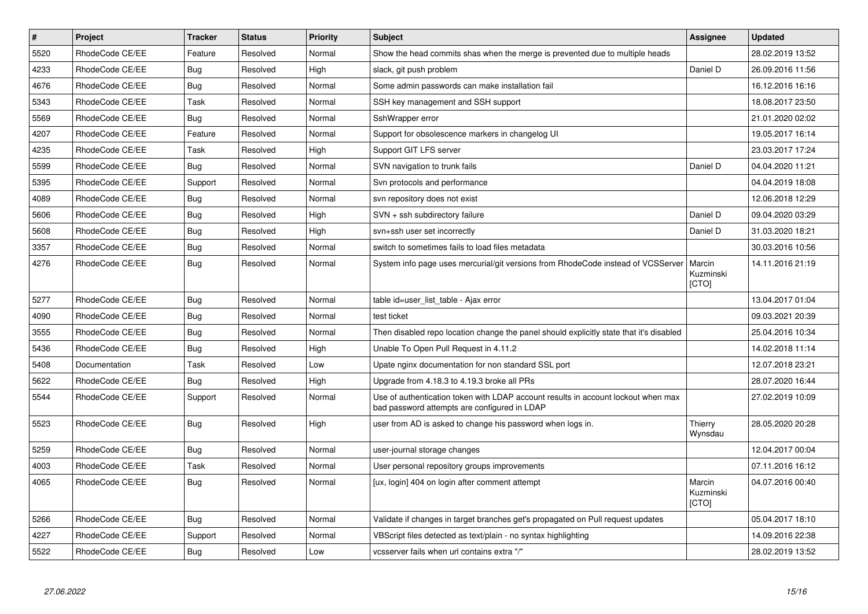| $\vert$ # | Project         | <b>Tracker</b> | <b>Status</b> | <b>Priority</b> | <b>Subject</b>                                                                                                                    | Assignee                     | <b>Updated</b>   |
|-----------|-----------------|----------------|---------------|-----------------|-----------------------------------------------------------------------------------------------------------------------------------|------------------------------|------------------|
| 5520      | RhodeCode CE/EE | Feature        | Resolved      | Normal          | Show the head commits shas when the merge is prevented due to multiple heads                                                      |                              | 28.02.2019 13:52 |
| 4233      | RhodeCode CE/EE | Bug            | Resolved      | High            | slack, git push problem                                                                                                           | Daniel D                     | 26.09.2016 11:56 |
| 4676      | RhodeCode CE/EE | Bug            | Resolved      | Normal          | Some admin passwords can make installation fail                                                                                   |                              | 16.12.2016 16:16 |
| 5343      | RhodeCode CE/EE | Task           | Resolved      | Normal          | SSH key management and SSH support                                                                                                |                              | 18.08.2017 23:50 |
| 5569      | RhodeCode CE/EE | Bug            | Resolved      | Normal          | SshWrapper error                                                                                                                  |                              | 21.01.2020 02:02 |
| 4207      | RhodeCode CE/EE | Feature        | Resolved      | Normal          | Support for obsolescence markers in changelog UI                                                                                  |                              | 19.05.2017 16:14 |
| 4235      | RhodeCode CE/EE | Task           | Resolved      | High            | Support GIT LFS server                                                                                                            |                              | 23.03.2017 17:24 |
| 5599      | RhodeCode CE/EE | Bug            | Resolved      | Normal          | SVN navigation to trunk fails                                                                                                     | Daniel D                     | 04.04.2020 11:21 |
| 5395      | RhodeCode CE/EE | Support        | Resolved      | Normal          | Svn protocols and performance                                                                                                     |                              | 04.04.2019 18:08 |
| 4089      | RhodeCode CE/EE | <b>Bug</b>     | Resolved      | Normal          | svn repository does not exist                                                                                                     |                              | 12.06.2018 12:29 |
| 5606      | RhodeCode CE/EE | <b>Bug</b>     | Resolved      | High            | SVN + ssh subdirectory failure                                                                                                    | Daniel D                     | 09.04.2020 03:29 |
| 5608      | RhodeCode CE/EE | Bug            | Resolved      | High            | svn+ssh user set incorrectly                                                                                                      | Daniel D                     | 31.03.2020 18:21 |
| 3357      | RhodeCode CE/EE | <b>Bug</b>     | Resolved      | Normal          | switch to sometimes fails to load files metadata                                                                                  |                              | 30.03.2016 10:56 |
| 4276      | RhodeCode CE/EE | Bug            | Resolved      | Normal          | System info page uses mercurial/git versions from RhodeCode instead of VCSServer                                                  | Marcin<br>Kuzminski<br>[CTO] | 14.11.2016 21:19 |
| 5277      | RhodeCode CE/EE | Bug            | Resolved      | Normal          | table id=user list table - Ajax error                                                                                             |                              | 13.04.2017 01:04 |
| 4090      | RhodeCode CE/EE | <b>Bug</b>     | Resolved      | Normal          | test ticket                                                                                                                       |                              | 09.03.2021 20:39 |
| 3555      | RhodeCode CE/EE | Bug            | Resolved      | Normal          | Then disabled repo location change the panel should explicitly state that it's disabled                                           |                              | 25.04.2016 10:34 |
| 5436      | RhodeCode CE/EE | Bug            | Resolved      | High            | Unable To Open Pull Request in 4.11.2                                                                                             |                              | 14.02.2018 11:14 |
| 5408      | Documentation   | Task           | Resolved      | Low             | Upate nginx documentation for non standard SSL port                                                                               |                              | 12.07.2018 23:21 |
| 5622      | RhodeCode CE/EE | <b>Bug</b>     | Resolved      | High            | Upgrade from 4.18.3 to 4.19.3 broke all PRs                                                                                       |                              | 28.07.2020 16:44 |
| 5544      | RhodeCode CE/EE | Support        | Resolved      | Normal          | Use of authentication token with LDAP account results in account lockout when max<br>bad password attempts are configured in LDAP |                              | 27.02.2019 10:09 |
| 5523      | RhodeCode CE/EE | Bug            | Resolved      | High            | user from AD is asked to change his password when logs in.                                                                        | Thierry<br>Wynsdau           | 28.05.2020 20:28 |
| 5259      | RhodeCode CE/EE | <b>Bug</b>     | Resolved      | Normal          | user-journal storage changes                                                                                                      |                              | 12.04.2017 00:04 |
| 4003      | RhodeCode CE/EE | Task           | Resolved      | Normal          | User personal repository groups improvements                                                                                      |                              | 07.11.2016 16:12 |
| 4065      | RhodeCode CE/EE | Bug            | Resolved      | Normal          | [ux, login] 404 on login after comment attempt                                                                                    | Marcin<br>Kuzminski<br>[CTO] | 04.07.2016 00:40 |
| 5266      | RhodeCode CE/EE | Bug            | Resolved      | Normal          | Validate if changes in target branches get's propagated on Pull request updates                                                   |                              | 05.04.2017 18:10 |
| 4227      | RhodeCode CE/EE | Support        | Resolved      | Normal          | VBScript files detected as text/plain - no syntax highlighting                                                                    |                              | 14.09.2016 22:38 |
| 5522      | RhodeCode CE/EE | Bug            | Resolved      | Low             | vcsserver fails when url contains extra "/"                                                                                       |                              | 28.02.2019 13:52 |